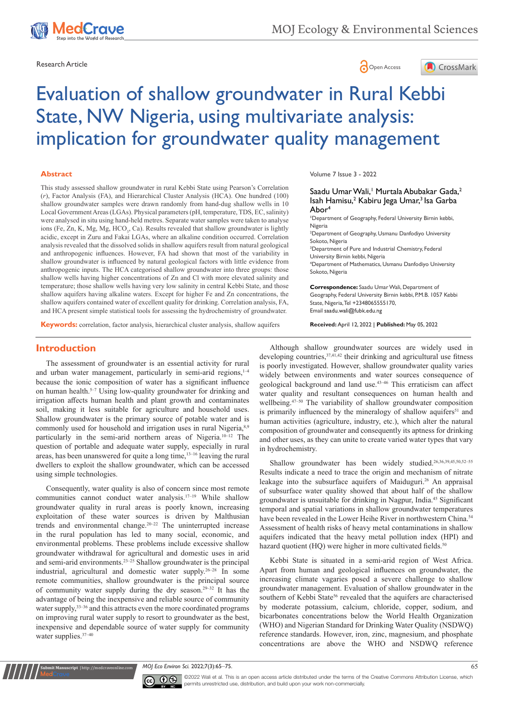

Research Article **Contracts** Contracts and Contracts Contracts Contracts Contracts Contracts Contracts Contracts Contracts Contracts Contracts Contracts Contracts Contracts Contracts Contracts Contracts Contracts Contracts





# Evaluation of shallow groundwater in Rural Kebbi State, NW Nigeria, using multivariate analysis: implication for groundwater quality management

#### **Abstract**

This study assessed shallow groundwater in rural Kebbi State using Pearson's Correlation (*r*), Factor Analysis (FA), and Hierarchical Cluster Analysis (HCA). One hundred (100) shallow groundwater samples were drawn randomly from hand-dug shallow wells in 10 Local Government Areas (LGAs). Physical parameters (pH, temperature, TDS, EC, salinity) were analysed in situ using hand-held metres. Separate water samples were taken to analyse ions (Fe, Zn, K, Mg, Mg, HCO<sub>3</sub>, Ca). Results revealed that shallow groundwater is lightly acidic, except in Zuru and Fakai LGAs, where an alkaline condition occurred. Correlation analysis revealed that the dissolved solids in shallow aquifers result from natural geological and anthropogenic influences. However, FA had shown that most of the variability in shallow groundwater is influenced by natural geological factors with little evidence from anthropogenic inputs. The HCA categorised shallow groundwater into three groups: those shallow wells having higher concentrations of Zn and Cl with more elevated salinity and temperature; those shallow wells having very low salinity in central Kebbi State, and those shallow aquifers having alkaline waters. Except for higher Fe and Zn concentrations, the shallow aquifers contained water of excellent quality for drinking. Correlation analysis, FA, and HCA present simple statistical tools for assessing the hydrochemistry of groundwater.

Volume 7 Issue 3 - 2022

Saadu Umar Wali, Murtala Abubakar Gada,<sup>2</sup> Isah Hamisu,<sup>2</sup> Kabiru Jega Umar,<sup>3</sup> Isa Garba Abor4

**1** Department of Geography, Federal University Birnin kebbi, Nigeria

2 Department of Geography, Usmanu Danfodiyo University Sokoto, Nigeria

3 Department of Pure and Industrial Chemistry, Federal University Birnin kebbi, Nigeria 4 Department of Mathematics, Usmanu Danfodiyo University

Sokoto, Nigeria

**Correspondence:** Saadu Umar Wali, Department of Geography, Federal University Birnin kebbi, P.M.B. 1057 Kebbi State, Nigeria, Tel +2348065555170, Email saadu.wali@fubk.edu.ng

**Keywords:** correlation, factor analysis, hierarchical cluster analysis, shallow aquifers

**Received:** April 12, 2022 | **Published:** May 05, 2022

# **Introduction**

The assessment of groundwater is an essential activity for rural and urban water management, particularly in semi-arid regions, 1-4 because the ionic composition of water has a significant influence on human health.5–7 Using low-quality groundwater for drinking and irrigation affects human health and plant growth and contaminates soil, making it less suitable for agriculture and household uses. Shallow groundwater is the primary source of potable water and is commonly used for household and irrigation uses in rural Nigeria, 8,9 particularly in the semi-arid northern areas of Nigeria.10–12 The question of portable and adequate water supply, especially in rural areas, has been unanswered for quite a long time,13–16 leaving the rural dwellers to exploit the shallow groundwater, which can be accessed using simple technologies.

Consequently, water quality is also of concern since most remote communities cannot conduct water analysis.<sup>17-19</sup> While shallow groundwater quality in rural areas is poorly known, increasing exploitation of these water sources is driven by Malthusian trends and environmental change.20–22 The uninterrupted increase in the rural population has led to many social, economic, and environmental problems. These problems include excessive shallow groundwater withdrawal for agricultural and domestic uses in arid and semi-arid environments.<sup>23-25</sup> Shallow groundwater is the principal industrial, agricultural and domestic water supply.26–28 In some remote communities, shallow groundwater is the principal source of community water supply during the dry season.29–32 It has the advantage of being the inexpensive and reliable source of community water supply,<sup>33–36</sup> and this attracts even the more coordinated programs on improving rural water supply to resort to groundwater as the best, inexpensive and dependable source of water supply for community water supplies.37–40

Although shallow groundwater sources are widely used in developing countries,  $37,41,42$  their drinking and agricultural use fitness is poorly investigated. However, shallow groundwater quality varies widely between environments and water sources consequence of geological background and land use.43–46 This erraticism can affect water quality and resultant consequences on human health and wellbeing.<sup>47-50</sup> The variability of shallow groundwater composition is primarily influenced by the mineralogy of shallow aquifers<sup>51</sup> and human activities (agriculture, industry, etc.), which alter the natural composition of groundwater and consequently its aptness for drinking and other uses, as they can unite to create varied water types that vary in hydrochemistry.

Shallow groundwater has been widely studied.26,36,39,45,50,52–55 Results indicate a need to trace the origin and mechanism of nitrate leakage into the subsurface aquifers of Maiduguri.<sup>26</sup> An appraisal of subsurface water quality showed that about half of the shallow groundwater is unsuitable for drinking in Nagpur, India.45 Significant temporal and spatial variations in shallow groundwater temperatures have been revealed in the Lower Heihe River in northwestern China.<sup>54</sup> Assessment of health risks of heavy metal contaminations in shallow aquifers indicated that the heavy metal pollution index (HPI) and hazard quotient (HQ) were higher in more cultivated fields.<sup>5</sup>

Kebbi State is situated in a semi-arid region of West Africa. Apart from human and geological influences on groundwater, the increasing climate vagaries posed a severe challenge to shallow groundwater management. Evaluation of shallow groundwater in the southern of Kebbi State<sup>56</sup> revealed that the aquifers are characterised by moderate potassium, calcium, chloride, copper, sodium, and bicarbonates concentrations below the World Health Organization (WHO) and Nigerian Standard for Drinking Water Quality (NSDWQ) reference standards. However, iron, zinc, magnesium, and phosphate concentrations are above the WHO and NSDWQ reference

*MOJ Eco Environ Sci.* 2022;7(3):65‒75. 65



**Submit Manuscript** | http://medcraveonline.com

©2022 Wali et al. This is an open access article distributed under the terms of the Creative Commons Attribution License, which permits unrestricted use, distribution, and build upon your work non-commercially.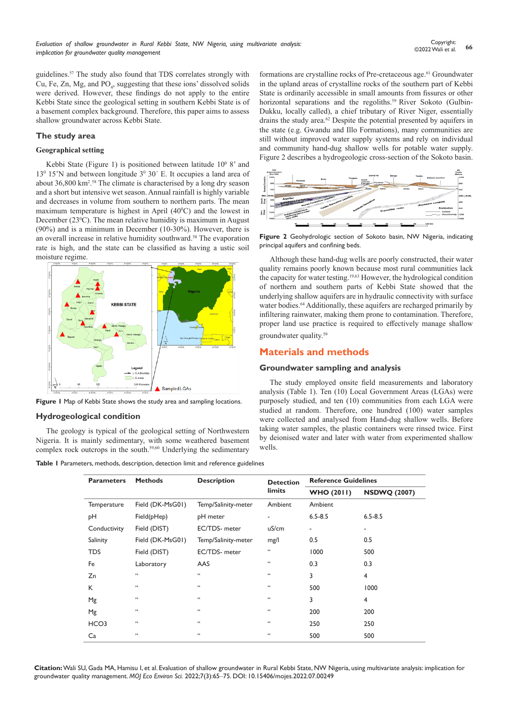guidelines.57 The study also found that TDS correlates strongly with Cu, Fe, Zn, Mg, and  $PO_4$ , suggesting that these ions' dissolved solids were derived. However, these findings do not apply to the entire Kebbi State since the geological setting in southern Kebbi State is of a basement complex background. Therefore, this paper aims to assess shallow groundwater across Kebbi State.

#### **The study area**

#### **Geographical setting**

Kebbi State (Figure 1) is positioned between latitude  $10^{\circ}$  8' and 13<sup>0</sup> 15'N and between longitude 3<sup>0</sup> 30' E. It occupies a land area of about 36,800 km2 . 58 The climate is characterised by a long dry season and a short but intensive wet season. Annual rainfall is highly variable and decreases in volume from southern to northern parts. The mean maximum temperature is highest in April  $(40^{\circ}C)$  and the lowest in December (23<sup>°</sup>C). The mean relative humidity is maximum in August (90%) and is a minimum in December (10-30%). However, there is an overall increase in relative humidity southward.<sup>58</sup> The evaporation rate is high, and the state can be classified as having a ustic soil moisture regime.



**Figure 1** Map of Kebbi State shows the study area and sampling locations.

### **Hydrogeological condition**

The geology is typical of the geological setting of Northwestern Nigeria. It is mainly sedimentary, with some weathered basement complex rock outcrops in the south.<sup>59,60</sup> Underlying the sedimentary

**Table 1** Parameters, methods, description, detection limit and reference guidelines

formations are crystalline rocks of Pre-cretaceous age.<sup>61</sup> Groundwater in the upland areas of crystalline rocks of the southern part of Kebbi State is ordinarily accessible in small amounts from fissures or other horizontal separations and the regoliths.<sup>59</sup> River Sokoto (Gulbin-Dukku, locally called), a chief tributary of River Niger, essentially drains the study area.<sup>62</sup> Despite the potential presented by aquifers in the state (e.g. Gwandu and Illo Formations), many communities are still without improved water supply systems and rely on individual and community hand-dug shallow wells for potable water supply. Figure 2 describes a hydrogeologic cross-section of the Sokoto basin.



**Figure 2** Geohydrologic section of Sokoto basin, NW Nigeria, indicating principal aquifers and confining beds.

Although these hand-dug wells are poorly constructed, their water quality remains poorly known because most rural communities lack the capacity for water testing.19,63 However, the hydrological condition of northern and southern parts of Kebbi State showed that the underlying shallow aquifers are in hydraulic connectivity with surface water bodies.<sup>64</sup> Additionally, these aquifers are recharged primarily by infiltering rainwater, making them prone to contamination. Therefore, proper land use practice is required to effectively manage shallow groundwater quality.59

# **Materials and methods**

#### **Groundwater sampling and analysis**

The study employed onsite field measurements and laboratory analysis (Table 1). Ten (10) Local Government Areas (LGAs) were purposely studied, and ten (10) communities from each LGA were studied at random. Therefore, one hundred (100) water samples were collected and analysed from Hand-dug shallow wells. Before taking water samples, the plastic containers were rinsed twice. First by deionised water and later with water from experimented shallow wells.

| <b>Parameters</b> | <b>Methods</b>        | <b>Description</b>  | <b>Detection</b>      | <b>Reference Guidelines</b> |                     |  |
|-------------------|-----------------------|---------------------|-----------------------|-----------------------------|---------------------|--|
|                   |                       |                     | limits                | <b>WHO (2011)</b>           | <b>NSDWQ (2007)</b> |  |
| Temperature       | Field (DK-MsG01)      | Temp/Salinity-meter | Ambient               | Ambient                     |                     |  |
| pH                | Field(pHep)           | pH meter            |                       | $6.5 - 8.5$                 | $6.5 - 8.5$         |  |
| Conductivity      | Field (DIST)          | EC/TDS- meter       | uS/cm<br>٠            |                             | ٠                   |  |
| Salinity          | Field (DK-MsG01)      | Temp/Salinity-meter | mg/l                  | 0.5                         | 0.5                 |  |
| <b>TDS</b>        | Field (DIST)          | EC/TDS- meter       | $\epsilon$            | 1000                        | 500                 |  |
| Fe                | Laboratory            | AAS                 | $\epsilon\,\epsilon$  | 0.3                         | 0.3                 |  |
| Zn                | $\epsilon\,\epsilon$  | 66                  | 66                    | 3                           | $\overline{4}$      |  |
| K                 | $\epsilon$ $\epsilon$ | 66                  | 66                    | 500                         | 1000                |  |
| Mg                | $\epsilon$ $\epsilon$ | 66                  | 66                    | 3                           | $\overline{4}$      |  |
| Mg                | $\epsilon$ $\epsilon$ | 66                  | 66                    | 200                         | 200                 |  |
| HCO <sub>3</sub>  | $\epsilon$ $\epsilon$ | 66                  | 66                    | 250                         | 250                 |  |
| Ca                | $\epsilon\,\epsilon$  | 66                  | $\epsilon$ $\epsilon$ | 500                         | 500                 |  |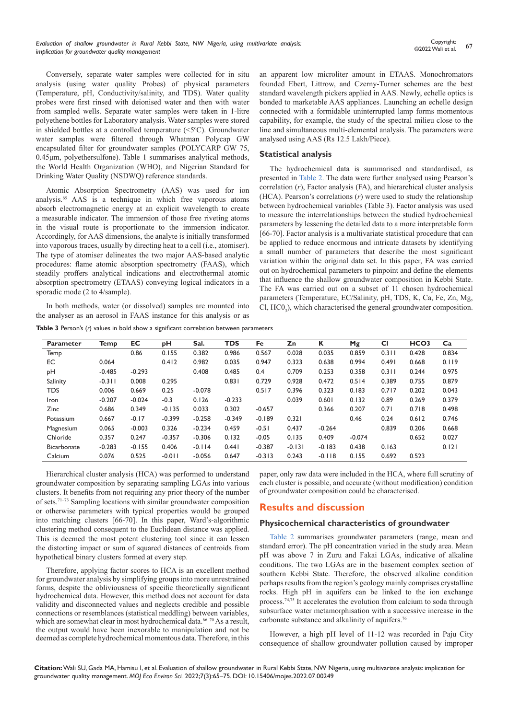Conversely, separate water samples were collected for in situ analysis (using water quality Probes) of physical parameters (Temperature, pH, Conductivity/salinity, and TDS). Water quality probes were first rinsed with deionised water and then with water from sampled wells. Separate water samples were taken in 1-litre polyethene bottles for Laboratory analysis. Water samples were stored in shielded bottles at a controlled temperature  $( $5^{\circ}$ C)$ . Groundwater water samples were filtered through Whatman Polycap GW encapsulated filter for groundwater samples (POLYCARP GW 75, 0.45μm, polyethersulfone). Table 1 summarises analytical methods, the World Health Organization (WHO), and Nigerian Standard for Drinking Water Quality (NSDWQ) reference standards.

Atomic Absorption Spectrometry (AAS) was used for ion analysis.65 AAS is a technique in which free vaporous atoms absorb electromagnetic energy at an explicit wavelength to create a measurable indicator. The immersion of those free riveting atoms in the visual route is proportionate to the immersion indicator. Accordingly, for AAS dimensions, the analyte is initially transformed into vaporous traces, usually by directing heat to a cell (i.e., atomiser). The type of atomiser delineates the two major AAS-based analytic procedures: flame atomic absorption spectrometry (FAAS), which steadily proffers analytical indications and electrothermal atomic absorption spectrometry (ETAAS) conveying logical indicators in a sporadic mode (2 to 4/sample).

In both methods, water (or dissolved) samples are mounted into the analyser as an aerosol in FAAS instance for this analysis or as

**Table 3** Person's (*r*) values in bold show a significant correlation between parameters

an apparent low microliter amount in ETAAS. Monochromators founded Ebert, Littrow, and Czerny-Turner schemes are the best standard wavelength pickers applied in AAS. Newly, echelle optics is bonded to marketable AAS appliances. Launching an echelle design connected with a formidable uninterrupted lamp forms momentous capability, for example, the study of the spectral milieu close to the line and simultaneous multi-elemental analysis. The parameters were analysed using AAS (Rs 12.5 Lakh/Piece).

## **Statistical analysis**

The hydrochemical data is summarised and standardised, as presented in [Table 2.](https://medcraveonline.com/MOJES/MOJES-07-00249T.pdf) The data were further analysed using Pearson's correlation (*r*), Factor analysis (FA), and hierarchical cluster analysis (HCA). Pearson's correlations (*r*) were used to study the relationship between hydrochemical variables (Table 3). Factor analysis was used to measure the interrelationships between the studied hydrochemical parameters by lessening the detailed data to a more interpretable form [66-70]. Factor analysis is a multivariate statistical procedure that can be applied to reduce enormous and intricate datasets by identifying a small number of parameters that describe the most significant variation within the original data set. In this paper, FA was carried out on hydrochemical parameters to pinpoint and define the elements that influence the shallow groundwater composition in Kebbi State. The FA was carried out on a subset of 11 chosen hydrochemical parameters (Temperature, EC/Salinity, pH, TDS, K, Ca, Fe, Zn, Mg,  $Cl, HCO<sub>3</sub>$ ), which characterised the general groundwater composition.

| <b>Parameter</b>   | Temp     | EC       | рH       | Sal.     | <b>TDS</b> | Fe       | Zn       | К        | Mg       | <b>CI</b> | HCO <sub>3</sub> | Ca    |
|--------------------|----------|----------|----------|----------|------------|----------|----------|----------|----------|-----------|------------------|-------|
| Temp               |          | 0.86     | 0.155    | 0.382    | 0.986      | 0.567    | 0.028    | 0.035    | 0.859    | 0.311     | 0.428            | 0.834 |
| EC                 | 0.064    |          | 0.412    | 0.982    | 0.035      | 0.947    | 0.323    | 0.638    | 0.994    | 0.491     | 0.668            | 0.119 |
| pH                 | $-0.485$ | $-0.293$ |          | 0.408    | 0.485      | 0.4      | 0.709    | 0.253    | 0.358    | 0.311     | 0.244            | 0.975 |
| Salinity           | $-0.3$   | 0.008    | 0.295    |          | 0.831      | 0.729    | 0.928    | 0.472    | 0.514    | 0.389     | 0.755            | 0.879 |
| <b>TDS</b>         | 0.006    | 0.669    | 0.25     | $-0.078$ |            | 0.517    | 0.396    | 0.323    | 0.183    | 0.717     | 0.202            | 0.043 |
| Iron               | $-0.207$ | $-0.024$ | $-0.3$   | 0.126    | $-0.233$   |          | 0.039    | 0.601    | 0.132    | 0.89      | 0.269            | 0.379 |
| <b>Zinc</b>        | 0.686    | 0.349    | $-0.135$ | 0.033    | 0.302      | $-0.657$ |          | 0.366    | 0.207    | 0.71      | 0.718            | 0.498 |
| Potassium          | 0.667    | $-0.17$  | $-0.399$ | $-0.258$ | $-0.349$   | $-0.189$ | 0.321    |          | 0.46     | 0.24      | 0.612            | 0.746 |
| Magnesium          | 0.065    | $-0.003$ | 0.326    | $-0.234$ | 0.459      | $-0.51$  | 0.437    | $-0.264$ |          | 0.839     | 0.206            | 0.668 |
| Chloride           | 0.357    | 0.247    | $-0.357$ | $-0.306$ | 0.132      | $-0.05$  | 0.135    | 0.409    | $-0.074$ |           | 0.652            | 0.027 |
| <b>Bicarbonate</b> | $-0.283$ | $-0.155$ | 0.406    | $-0.114$ | 0.441      | $-0.387$ | $-0.131$ | $-0.183$ | 0.438    | 0.163     |                  | 0.121 |
| Calcium            | 0.076    | 0.525    | $-0.011$ | $-0.056$ | 0.647      | $-0.313$ | 0.243    | $-0.118$ | 0.155    | 0.692     | 0.523            |       |

Hierarchical cluster analysis (HCA) was performed to understand groundwater composition by separating sampling LGAs into various clusters. It benefits from not requiring any prior theory of the number of sets.71–73 Sampling locations with similar groundwater composition or otherwise parameters with typical properties would be grouped into matching clusters [66-70]. In this paper, Ward's-algorithmic clustering method consequent to the Euclidean distance was applied. This is deemed the most potent clustering tool since it can lessen the distorting impact or sum of squared distances of centroids from hypothetical binary clusters formed at every step.

Therefore, applying factor scores to HCA is an excellent method for groundwater analysis by simplifying groups into more unrestrained forms, despite the obliviousness of specific theoretically significant hydrochemical data. However, this method does not account for data validity and disconnected values and neglects credible and possible connections or resemblances (statistical meddling) between variables, which are somewhat clear in most hydrochemical data.<sup>66-70</sup> As a result, the output would have been inexorable to manipulation and not be deemed as complete hydrochemical momentous data. Therefore, in this paper, only raw data were included in the HCA, where full scrutiny of each cluster is possible, and accurate (without modification) condition of groundwater composition could be characterised.

# **Results and discussion**

## **Physicochemical characteristics of groundwater**

[Table 2](https://medcraveonline.com/MOJES/MOJES-07-00249T.pdf) summarises groundwater parameters (range, mean and standard error). The pH concentration varied in the study area. Mean pH was above 7 in Zuru and Fakai LGAs, indicative of alkaline conditions. The two LGAs are in the basement complex section of southern Kebbi State. Therefore, the observed alkaline condition perhaps results from the region's geology mainly comprises crystalline rocks. High pH in aquifers can be linked to the ion exchange process.74,75 It accelerates the evolution from calcium to soda through subsurface water metamorphisation with a successive increase in the carbonate substance and alkalinity of aquifers.76

However, a high pH level of 11-12 was recorded in Paju City consequence of shallow groundwater pollution caused by improper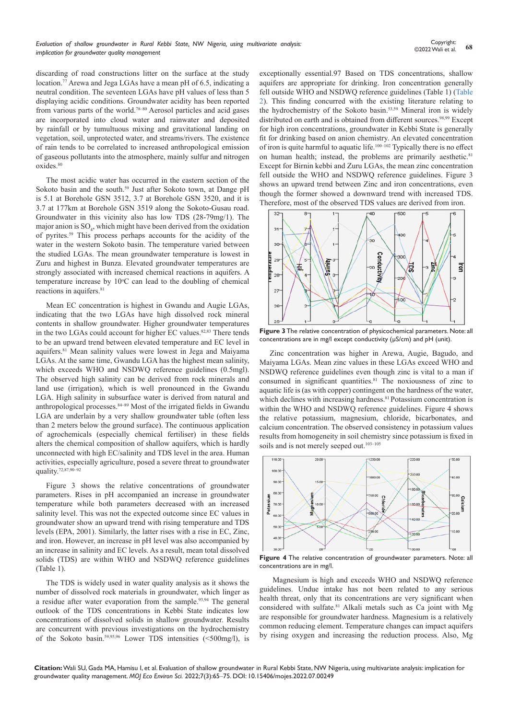discarding of road constructions litter on the surface at the study location.<sup>77</sup> Arewa and Jega LGAs have a mean pH of 6.5, indicating a neutral condition. The seventeen LGAs have pH values of less than 5 displaying acidic conditions. Groundwater acidity has been reported from various parts of the world.78–80 Aerosol particles and acid gases are incorporated into cloud water and rainwater and deposited by rainfall or by tumultuous mixing and gravitational landing on vegetation, soil, unprotected water, and streams/rivers. The existence of rain tends to be correlated to increased anthropological emission of gaseous pollutants into the atmosphere, mainly sulfur and nitrogen oxides.<sup>80</sup>

The most acidic water has occurred in the eastern section of the Sokoto basin and the south.<sup>59</sup> Just after Sokoto town, at Dange pH is 5.1 at Borehole GSN 3512, 3.7 at Borehole GSN 3520, and it is 3.7 at 177km at Borehole GSN 3519 along the Sokoto-Gusau road. Groundwater in this vicinity also has low TDS (28-79mg/1). The major anion is  $SO_4$ , which might have been derived from the oxidation of pyrites.59 This process perhaps accounts for the acidity of the water in the western Sokoto basin. The temperature varied between the studied LGAs. The mean groundwater temperature is lowest in Zuru and highest in Bunza. Elevated groundwater temperatures are strongly associated with increased chemical reactions in aquifers. A temperature increase by  $10^{\circ}$ C can lead to the doubling of chemical reactions in aquifers.<sup>81</sup>

Mean EC concentration is highest in Gwandu and Augie LGAs, indicating that the two LGAs have high dissolved rock mineral contents in shallow groundwater. Higher groundwater temperatures in the two LGAs could account for higher EC values.<sup>82,83</sup> There tends to be an upward trend between elevated temperature and EC level in aquifers.81 Mean salinity values were lowest in Jega and Maiyama LGAs. At the same time, Gwandu LGA has the highest mean salinity, which exceeds WHO and NSDWQ reference guidelines (0.5mgl). The observed high salinity can be derived from rock minerals and land use (irrigation), which is well pronounced in the Gwandu LGA. High salinity in subsurface water is derived from natural and anthropological processes.<sup>84-89</sup> Most of the irrigated fields in Gwandu LGA are underlain by a very shallow groundwater table (often less than 2 meters below the ground surface). The continuous application of agrochemicals (especially chemical fertiliser) in these fields alters the chemical composition of shallow aquifers, which is hardly unconnected with high EC/salinity and TDS level in the area. Human activities, especially agriculture, posed a severe threat to groundwater quality.72,87,90–92

Figure 3 shows the relative concentrations of groundwater parameters. Rises in pH accompanied an increase in groundwater temperature while both parameters decreased with an increased salinity level. This was not the expected outcome since EC values in groundwater show an upward trend with rising temperature and TDS levels (EPA, 2001). Similarly, the latter rises with a rise in EC, Zinc, and iron. However, an increase in pH level was also accompanied by an increase in salinity and EC levels. As a result, mean total dissolved solids (TDS) are within WHO and NSDWQ reference guidelines (Table 1).

The TDS is widely used in water quality analysis as it shows the number of dissolved rock materials in groundwater, which linger as a residue after water evaporation from the sample.<sup>93,94</sup> The general outlook of the TDS concentrations in Kebbi State indicates low concentrations of dissolved solids in shallow groundwater. Results are concurrent with previous investigations on the hydrochemistry of the Sokoto basin.59,95,96 Lower TDS intensities (<500mg/l), is

exceptionally essential.97 Based on TDS concentrations, shallow aquifers are appropriate for drinking. Iron concentration generally fell outside WHO and NSDWQ reference guidelines (Table 1) [\(Table](https://medcraveonline.com/MOJES/MOJES-07-00249T.pdf)  [2](https://medcraveonline.com/MOJES/MOJES-07-00249T.pdf)). This finding concurred with the existing literature relating to the hydrochemistry of the Sokoto basin.53,59 Mineral iron is widely distributed on earth and is obtained from different sources.<sup>98,99</sup> Except for high iron concentrations, groundwater in Kebbi State is generally fit for drinking based on anion chemistry. An elevated concentration of iron is quite harmful to aquatic life.100–102 Typically there is no effect on human health; instead, the problems are primarily aesthetic.<sup>81</sup> Except for Birnin kebbi and Zuru LGAs, the mean zinc concentration fell outside the WHO and NSDWQ reference guidelines. Figure 3 shows an upward trend between Zinc and iron concentrations, even though the former showed a downward trend with increased TDS. Therefore, most of the observed TDS values are derived from iron.



**Figure 3** The relative concentration of physicochemical parameters. Note: all concentrations are in mg/l except conductivity (µS/cm) and pH (unit).

Zinc concentration was higher in Arewa, Augie, Bagudo, and Maiyama LGAs. Mean zinc values in these LGAs exceed WHO and NSDWQ reference guidelines even though zinc is vital to a man if consumed in significant quantities. $81$  The noxiousness of zinc to aquatic life is (as with copper) contingent on the hardness of the water, which declines with increasing hardness.<sup>81</sup> Potassium concentration is within the WHO and NSDWQ reference guidelines. Figure 4 shows the relative potassium, magnesium, chloride, bicarbonates, and calcium concentration. The observed consistency in potassium values results from homogeneity in soil chemistry since potassium is fixed in soils and is not merely seeped out.<sup>103-105</sup>



**Figure 4** The relative concentration of groundwater parameters. Note: all concentrations are in mg/l.

 Magnesium is high and exceeds WHO and NSDWQ reference guidelines. Undue intake has not been related to any serious health threat, only that its concentrations are very significant when considered with sulfate.<sup>81</sup> Alkali metals such as Ca joint with Mg are responsible for groundwater hardness. Magnesium is a relatively common reducing element. Temperature changes can impact aquifers by rising oxygen and increasing the reduction process. Also, Mg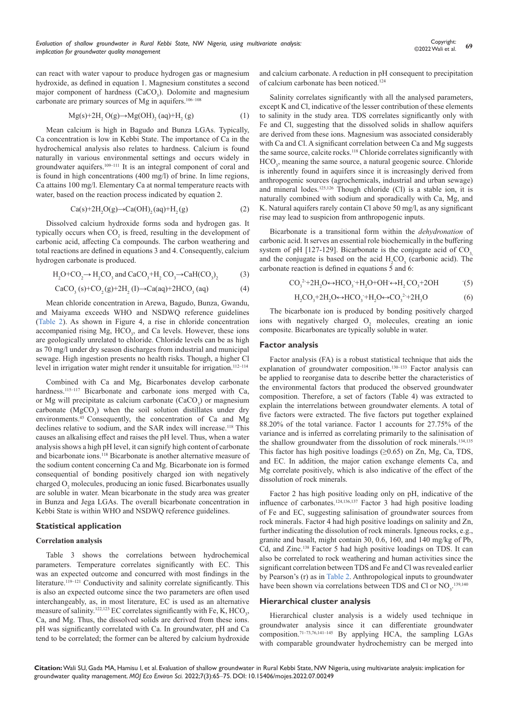can react with water vapour to produce hydrogen gas or magnesium hydroxide, as defined in equation 1. Magnesium constitutes a second major component of hardness (CaCO<sub>3</sub>). Dolomite and magnesium carbonate are primary sources of Mg in aquifers.106–108

$$
Mg(s)+2H_2 O(g) \rightarrow Mg(OH)_2 (aq)+H_2(g)
$$
 (1)

Mean calcium is high in Bagudo and Bunza LGAs. Typically, Ca concentration is low in Kebbi State. The importance of Ca in the hydrochemical analysis also relates to hardness. Calcium is found naturally in various environmental settings and occurs widely in groundwater aquifers.<sup>109-111</sup> It is an integral component of coral and is found in high concentrations (400 mg/l) of brine. In lime regions, Ca attains 100 mg/l. Elementary Ca at normal temperature reacts with water, based on the reaction process indicated by equation 2.

$$
Ca(s)+2H_2O(g)\rightarrow Ca(OH)_2(aq)+H_2(g)
$$
 (2)

Dissolved calcium hydroxide forms soda and hydrogen gas. It typically occurs when  $CO_2$  is freed, resulting in the development of carbonic acid, affecting Ca compounds. The carbon weathering and total reactions are defined in equations 3 and 4. Consequently, calcium hydrogen carbonate is produced.

$$
H_2O+CO_2 \rightarrow H_2CO_3 \text{ and } CaCO_3 + H_2 CO_3 \rightarrow CaH(CO_3)_2
$$
 (3)

$$
CaCO3(s)+CO2(g)+2H2(I) \rightarrow Ca(aq)+2HCO3(aq)
$$
 (4)

Mean chloride concentration in Arewa, Bagudo, Bunza, Gwandu, and Maiyama exceeds WHO and NSDWQ reference guidelines ([Table 2](https://medcraveonline.com/MOJES/MOJES-07-00249T.pdf)). As shown in Figure 4, a rise in chloride concentration accompanied rising Mg, HCO<sub>3</sub>, and Ca levels. However, these ions are geologically unrelated to chloride. Chloride levels can be as high as 70 mg/l under dry season discharges from industrial and municipal sewage. High ingestion presents no health risks. Though, a higher Cl level in irrigation water might render it unsuitable for irrigation.<sup>112-114</sup>

Combined with Ca and Mg, Bicarbonates develop carbonate hardness.<sup>115-117</sup> Bicarbonate and carbonate ions merged with [Ca](http://www.lenntech.com/Periodic-chart-elements/Ca-en.htm), or [Mg](http://www.lenntech.com/Periodic-chart-elements/Mg-en.htm) will precipitate as calcium carbonate  $(CaCO<sub>3</sub>)$  or magnesium carbonate  $(MgCO<sub>3</sub>)$  when the soil solution distillates under dry environments.<sup>45</sup> Consequently, the concentration of Ca and Mg declines relative to [sodium,](http://www.lenntech.com/Periodic-chart-elements/Na-en.htm) and the [SAR index](http://www.lenntech.com/Irrigation/SAR-hazard-of-irrigation-water.htm#SARadj) will increase.<sup>118</sup> This causes an alkalising effect and raises the pH level. Thus, when a water analysis shows a high pH level, it can signify high content of carbonate and bicarbonate ions.118 Bicarbonate is another alternative measure of the sodium content concerning Ca and Mg. Bicarbonate ion is formed consequential of bonding positively charged ion with negatively charged  $O_2$  molecules, producing an ionic fused. Bicarbonates usually are soluble in water. Mean bicarbonate in the study area was greater in Bunza and Jega LGAs. The overall bicarbonate concentration in Kebbi State is within WHO and NSDWQ reference guidelines.

### **Statistical application**

#### **Correlation analysis**

Table 3 shows the correlations between hydrochemical parameters. Temperature correlates significantly with EC. This was an expected outcome and concurred with most findings in the literature.<sup>119-121</sup> Conductivity and salinity correlate significantly. This is also an expected outcome since the two parameters are often used interchangeably, as, in most literature, EC is used as an alternative measure of salinity.<sup>122,123</sup> EC correlates significantly with Fe, K, HCO<sub>3</sub>, Ca, and Mg. Thus, the dissolved solids are derived from these ions. pH was significantly correlated with Ca. In groundwater, pH and Ca tend to be correlated; the former can be altered by calcium hydroxide

and calcium carbonate. A reduction in pH consequent to precipitation of calcium carbonate has been noticed.124

Salinity correlates significantly with all the analysed parameters, except K and Cl, indicative of the lesser contribution of these elements to salinity in the study area. TDS correlates significantly only with Fe and Cl, suggesting that the dissolved solids in shallow aquifers are derived from these ions. Magnesium was associated considerably with Ca and Cl. A significant correlation between Ca and Mg suggests the same source, calcite rocks.118 Chloride correlates significantly with HCO<sub>3</sub>, meaning the same source, a natural geogenic source. Chloride is inherently found in aquifers since it is increasingly derived from anthropogenic sources (agrochemicals, industrial and urban sewage) and mineral lodes.125,126 Though chloride (Cl) is a stable ion, it is naturally combined with sodium and sporadically with Ca, Mg, and K. Natural aquifers rarely contain Cl above 50 mg/l, as any significant rise may lead to suspicion from anthropogenic inputs.

Bicarbonate is a transitional form within the *dehydronation* of carbonic acid. It serves an essential role biochemically in the buffering system of pH  $[127-129]$ . Bicarbonate is the conjugate acid of CO<sub>3</sub>, and the conjugate is based on the acid  $H_2CO_3$  (carbonic acid). The carbonate reaction is defined in equations  $\bar{5}$  and 6:

$$
CO32+2H2O \leftrightarrow HCO3+H2O+OH \leftrightarrow H2CO3+2OH
$$
 (5)

$$
H_2CO_3 + 2H_2O \leftrightarrow HCO_3 + H_2O \leftrightarrow CO_3^{2+} + 2H_3O
$$
 (6)

The bicarbonate ion is produced by bonding positively charged ions with negatively charged  $O_2$  molecules, creating an ionic composite. Bicarbonates are typically soluble in water.

#### **Factor analysis**

Factor analysis (FA) is a robust statistical technique that aids the explanation of groundwater composition.<sup>130–133</sup> Factor analysis can be applied to reorganise data to describe better the characteristics of the environmental factors that produced the observed groundwater composition. Therefore, a set of factors (Table 4) was extracted to explain the interrelations between groundwater elements. A total of five factors were extracted. The five factors put together explained 88.20% of the total variance. Factor 1 accounts for 27.75% of the variance and is inferred as correlating primarily to the salinisation of the shallow groundwater from the dissolution of rock minerals.<sup>134,135</sup> This factor has high positive loadings  $(\geq 0.65)$  on Zn, Mg, Ca, TDS, and EC. In addition, the major cation exchange elements Ca, and Mg correlate positively, which is also indicative of the effect of the dissolution of rock minerals.

Factor 2 has high positive loading only on pH, indicative of the influence of carbonates.124,136,137 Factor 3 had high positive loading of Fe and EC, suggesting salinisation of groundwater sources from rock minerals. Factor 4 had high positive loadings on salinity and Zn, further indicating the dissolution of rock minerals. Igneous rocks, e.g., granite and basalt, might contain 30, 0.6, 160, and 140 mg/kg of Pb, Cd, and Zinc.138 Factor 5 had high positive loadings on TDS. It can also be correlated to rock weathering and human activities since the significant correlation between TDS and Fe and Cl was revealed earlier by Pearson's (r) as in [Table 2.](https://medcraveonline.com/MOJES/MOJES-07-00249T.pdf) Anthropological inputs to groundwater have been shown via correlations between TDS and Cl or  $NO<sub>3</sub>$ .<sup>139,140</sup>

# **Hierarchical cluster analysis**

Hierarchical cluster analysis is a widely used technique in groundwater analysis since it can differentiate groundwater composition.71–73,76,141–145 By applying HCA, the sampling LGAs with comparable groundwater hydrochemistry can be merged into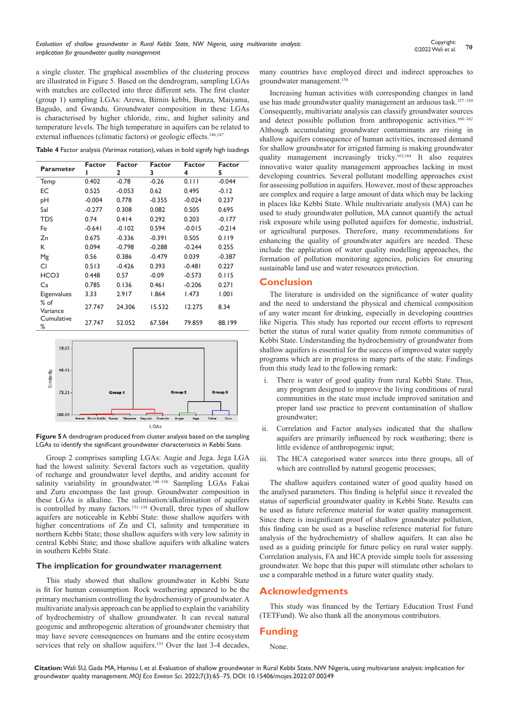**<sup>70</sup>** Copyright: ©2022 Wali et al.

a single cluster. The graphical assemblies of the clustering process are illustrated in Figure 5. Based on the dendrogram, sampling LGAs with matches are collected into three different sets. The first cluster (group 1) sampling LGAs: Arewa, Birnin kebbi, Bunza, Maiyama, Bagudo, and Gwandu. Groundwater composition in these LGAs is characterised by higher chloride, zinc, and higher salinity and temperature levels. The high temperature in aquifers can be related to external influences (climatic factors) or geologic effects.<sup>146,147</sup>

**Table 4** Factor analysis (Varimax rotation), values in bold signify high loadings

| <b>Parameter</b>   | Factor   | Factor<br>2 | Factor<br>3 | Factor<br>4 | <b>Factor</b><br>5 |
|--------------------|----------|-------------|-------------|-------------|--------------------|
| Temp               | 0.402    | $-0.78$     | $-0.26$     | 0.111       | $-0.044$           |
| ЕC                 | 0.525    | $-0.053$    | 0.62        | 0.495       | $-0.12$            |
| pH                 | $-0.004$ | 0.778       | $-0.355$    | $-0.024$    | 0.237              |
| Sal                | $-0.277$ | 0.308       | 0.082       | 0.505       | 0.695              |
| <b>TDS</b>         | 0.74     | 0.414       | 0.292       | 0.203       | $-0.177$           |
| Fe                 | $-0.641$ | $-0.102$    | 0.594       | $-0.015$    | $-0.214$           |
| Zn                 | 0.675    | $-0.336$    | $-0.391$    | 0.505       | 0.119              |
| К                  | 0.094    | $-0.798$    | $-0.288$    | $-0.244$    | 0.255              |
| Mg                 | 0.56     | 0.386       | $-0.479$    | 0.039       | $-0.387$           |
| CI                 | 0.513    | $-0.426$    | 0.393       | $-0.481$    | 0.227              |
| HCO <sub>3</sub>   | 0.448    | 0.57        | $-0.09$     | $-0.573$    | 0.115              |
| Ca                 | 0.785    | 0.136       | 0.461       | $-0.206$    | 0.271              |
| Eigenvalues        | 3.33     | 2.917       | 1.864       | 1.473       | 1.001              |
| $%$ of<br>Variance | 27.747   | 24.306      | 15.532      | 12.275      | 8.34               |
| Cumulative<br>%    | 27.747   | 52.052      | 67.584      | 79.859      | 88.199             |



**Figure 5** A dendrogram produced from cluster analysis based on the sampling LGAs to identify the significant groundwater characteristics in Kebbi State.

Group 2 comprises sampling LGAs: Augie and Jega. Jega LGA had the lowest salinity. Several factors such as vegetation, quality of recharge and groundwater level depths, and aridity account for salinity variability in groundwater.<sup>148-150</sup> Sampling LGAs Fakai and Zuru encompass the last group. Groundwater composition in these LGAs is alkaline. The salinisation/alkalinisation of aquifers is controlled by many factors.<sup>151–154</sup> Overall, three types of shallow aquifers are noticeable in Kebbi State: those shallow aquifers with higher concentrations of Zn and Cl, salinity and temperature in northern Kebbi State; those shallow aquifers with very low salinity in central Kebbi State; and those shallow aquifers with alkaline waters in southern Kebbi State.

## **The implication for groundwater management**

This study showed that shallow groundwater in Kebbi State is fit for human consumption. Rock weathering appeared to be the primary mechanism controlling the hydrochemistry of groundwater. A multivariate analysis approach can be applied to explain the variability of hydrochemistry of shallow groundwater. It can reveal natural geogenic and anthropogenic alteration of groundwater chemistry that may have severe consequences on humans and the entire ecosystem services that rely on shallow aquifers.<sup>155</sup> Over the last 3-4 decades,

many countries have employed direct and indirect approaches to groundwater management.156

Increasing human activities with corresponding changes in land use has made groundwater quality management an arduous task.<sup>157-159</sup> Consequently, multivariate analysis can classify groundwater sources and detect possible pollution from anthropogenic activities.<sup>160-162</sup> Although accumulating groundwater contaminants are rising in shallow aquifers consequence of human activities, increased demand for shallow groundwater for irrigated farming is making groundwater quality management increasingly tricky.163,164 It also requires innovative water quality management approaches lacking in most developing countries. Several pollutant modelling approaches exist for assessing pollution in aquifers. However, most of these approaches are complex and require a large amount of data which may be lacking in places like Kebbi State. While multivariate analysis (MA) can be used to study groundwater pollution, MA cannot quantify the actual risk exposure while using polluted aquifers for domestic, industrial, or agricultural purposes. Therefore, many recommendations for enhancing the quality of groundwater aquifers are needed. These include the application of water quality modelling approaches, the formation of pollution monitoring agencies, policies for ensuring sustainable land use and water resources protection.

#### **Conclusion**

The literature is undivided on the significance of water quality and the need to understand the physical and chemical composition of any water meant for drinking, especially in developing countries like Nigeria. This study has reported our recent efforts to represent better the status of rural water quality from remote communities of Kebbi State. Understanding the hydrochemistry of groundwater from shallow aquifers is essential for the success of improved water supply programs which are in progress in many parts of the state. Findings from this study lead to the following remark:

- i. There is water of good quality from rural Kebbi State. Thus, any program designed to improve the living conditions of rural communities in the state must include improved sanitation and proper land use practice to prevent contamination of shallow groundwater;
- ii. Correlation and Factor analyses indicated that the shallow aquifers are primarily influenced by rock weathering; there is little evidence of anthropogenic input;
- iii. The HCA categorised water sources into three groups, all of which are controlled by natural geogenic processes;

The shallow aquifers contained water of good quality based on the analysed parameters. This finding is helpful since it revealed the status of superficial groundwater quality in Kebbi State. Results can be used as future reference material for water quality management. Since there is insignificant proof of shallow groundwater pollution, this finding can be used as a baseline reference material for future analysis of the hydrochemistry of shallow aquifers. It can also be used as a guiding principle for future policy on rural water supply. Correlation analysis, FA and HCA provide simple tools for assessing groundwater. We hope that this paper will stimulate other scholars to use a comparable method in a future water quality study.

#### **Acknowledgments**

This study was financed by the Tertiary Education Trust Fund (TETFund). We also thank all the anonymous contributors.

## **Funding**

None.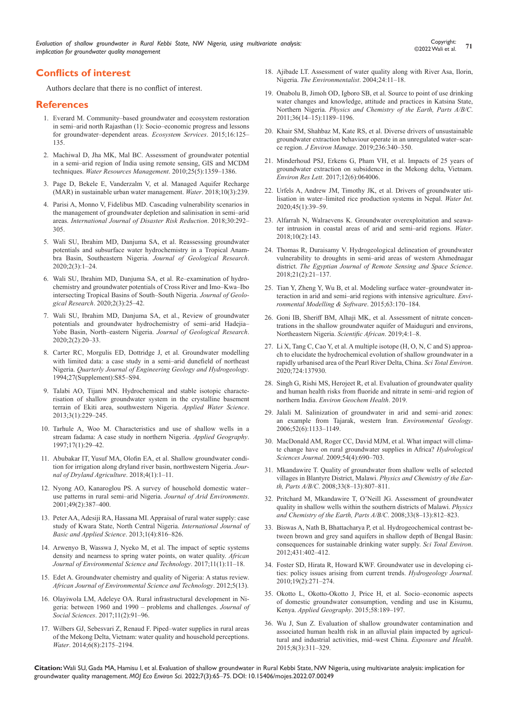# **Conflicts of interest**

Authors declare that there is no conflict of interest.

#### **References**

- 1. [Everard M. Community–based groundwater and ecosystem restoration](https://www.sciencedirect.com/science/article/abs/pii/S2212041615300383)  [in semi–arid north Rajasthan \(1\): Socio–economic progress and lessons](https://www.sciencedirect.com/science/article/abs/pii/S2212041615300383)  [for groundwater–dependent areas.](https://www.sciencedirect.com/science/article/abs/pii/S2212041615300383) *Ecosystem Services*. 2015;16:125– [135.](https://www.sciencedirect.com/science/article/abs/pii/S2212041615300383)
- 2. [Machiwal D, Jha MK, Mal BC. Assessment of groundwater potential](https://link.springer.com/article/10.1007/s11269-010-9749-y)  [in a semi–arid region of India using remote sensing, GIS and MCDM](https://link.springer.com/article/10.1007/s11269-010-9749-y)  techniques. *[Water Resources Management](https://link.springer.com/article/10.1007/s11269-010-9749-y)*. 2010;25(5):1359–1386.
- 3. [Page D, Bekele E, Vanderzalm V, et al. Managed Aquifer Recharge](https://www.mdpi.com/2073-4441/10/3/239)  [\(MAR\) in sustainable urban water management.](https://www.mdpi.com/2073-4441/10/3/239) *Water*. 2018;10(3):239.
- 4. [Parisi A, Monno V, Fidelibus MD. Cascading vulnerability scenarios in](https://isiarticles.com/bundles/Article/pre/pdf/137746.pdf)  [the management of groundwater depletion and salinisation in semi–arid](https://isiarticles.com/bundles/Article/pre/pdf/137746.pdf)  areas. *[International Journal of Disaster Risk Reduction](https://isiarticles.com/bundles/Article/pre/pdf/137746.pdf)*. 2018;30:292– [305.](https://isiarticles.com/bundles/Article/pre/pdf/137746.pdf)
- 5. [Wali SU, Ibrahim MD, Danjuma SA, et al. Reassessing groundwater](https://ojs.bilpublishing.com/index.php/jgr-a/article/view/2141)  [potentials and subsurface water hydrochemistry in a Tropical Anam](https://ojs.bilpublishing.com/index.php/jgr-a/article/view/2141)[bra Basin, Southeastern Nigeria.](https://ojs.bilpublishing.com/index.php/jgr-a/article/view/2141) *Journal of Geological Research*. [2020;2\(3\):1–24.](https://ojs.bilpublishing.com/index.php/jgr-a/article/view/2141)
- 6. [Wali SU, Ibrahim MD, Danjuma SA, et al. Re–examination of hydro](https://ojs.bilpublishing.com/index.php/jgr-a/article/view/2142)[chemistry and groundwater potentials of Cross River and Imo–Kwa–Ibo](https://ojs.bilpublishing.com/index.php/jgr-a/article/view/2142)  [intersecting Tropical Basins of South–South Nigeria.](https://ojs.bilpublishing.com/index.php/jgr-a/article/view/2142) *Journal of Geological Research*[. 2020;2\(3\):25–42.](https://ojs.bilpublishing.com/index.php/jgr-a/article/view/2142)
- 7. [Wali SU, Ibrahim MD, Danjuma SA, et al., Review of groundwater](https://ojs.bilpublishing.com/index.php/jgr-a/article/download/2140/1767)  [potentials and groundwater hydrochemistry of semi–arid Hadejia–](https://ojs.bilpublishing.com/index.php/jgr-a/article/download/2140/1767) [Yobe Basin, North–eastern Nigeria.](https://ojs.bilpublishing.com/index.php/jgr-a/article/download/2140/1767) *Journal of Geological Research*. [2020;2\(2\):20–33.](https://ojs.bilpublishing.com/index.php/jgr-a/article/download/2140/1767)
- 8. [Carter RC, Morgulis ED, Dottridge J, et al. Groundwater modelling](https://qjegh.lyellcollection.org/content/27/Supplement/S85)  [with limited data: a case study in a semi–arid dunefield of northeast](https://qjegh.lyellcollection.org/content/27/Supplement/S85)  Nigeria. *[Quarterly Journal of Engineering Geology and Hydrogeology](https://qjegh.lyellcollection.org/content/27/Supplement/S85)*. [1994;27\(Supplement\):S85–S94.](https://qjegh.lyellcollection.org/content/27/Supplement/S85)
- 9. [Talabi AO, Tijani MN. Hydrochemical and stable isotopic characte](https://link.springer.com/article/10.1007/s13201-013-0076-3)[risation of shallow groundwater system in the crystalline basement](https://link.springer.com/article/10.1007/s13201-013-0076-3)  [terrain of Ekiti area, southwestern Nigeria.](https://link.springer.com/article/10.1007/s13201-013-0076-3) *Applied Water Science*. [2013;3\(1\):229–245.](https://link.springer.com/article/10.1007/s13201-013-0076-3)
- 10. [Tarhule A, Woo M. Characteristics and use of shallow wells in a](https://www.sciencedirect.com/science/article/abs/pii/S0143622896000239)  [stream fadama: A case study in northern Nigeria.](https://www.sciencedirect.com/science/article/abs/pii/S0143622896000239) *Applied Geography*. [1997;17\(1\):29–42.](https://www.sciencedirect.com/science/article/abs/pii/S0143622896000239)
- 11. [Abubakar IT, Yusuf MA, Olofin EA, et al. Shallow groundwater condi](https://academicjournals.org/journal/JODA/article-full-text-pdf/CA8E17C59556)[tion for irrigation along dryland river basin, northwestern Nigeria.](https://academicjournals.org/journal/JODA/article-full-text-pdf/CA8E17C59556) *Jour[nal of Dryland Agriculture](https://academicjournals.org/journal/JODA/article-full-text-pdf/CA8E17C59556)*. 2018;4(1):1–11.
- 12. [Nyong AO, Kanaroglou PS. A survey of household domestic water–](https://www.jstor.org/stable/42002547) [use patterns in rural semi–arid Nigeria.](https://www.jstor.org/stable/42002547) *Journal of Arid Environments*. [2001;49\(2\):387–400.](https://www.jstor.org/stable/42002547)
- 13. [Peter AA, Adesiji RA, Hassana MI. Appraisal of rural water supply: case](http://citeseerx.ist.psu.edu/viewdoc/download?doi=10.1.1.416.2954&rep=rep1&type=pdf)  [study of Kwara State, North Central Nigeria.](http://citeseerx.ist.psu.edu/viewdoc/download?doi=10.1.1.416.2954&rep=rep1&type=pdf) *International Journal of [Basic and Applied Science](http://citeseerx.ist.psu.edu/viewdoc/download?doi=10.1.1.416.2954&rep=rep1&type=pdf)*. 2013;1(4):816–826.
- 14. [Arwenyo B, Wasswa J, Nyeko M, et al. The impact of septic systems](https://www.ajol.info/index.php/ajest/article/view/150663)  [density and nearness to spring water points, on water quality.](https://www.ajol.info/index.php/ajest/article/view/150663) *African [Journal of Environmental Science and Technology](https://www.ajol.info/index.php/ajest/article/view/150663)*. 2017;11(1):11–18.
- 15. [Edet A. Groundwater chemistry and quality of Nigeria: A status review.](https://www.ajol.info/index.php/ajest/article/view/74238)  *[African Journal of Environmental Science and Technology](https://www.ajol.info/index.php/ajest/article/view/74238)*. 2012;5(13).
- 16. [Olayiwola LM, Adeleye OA. Rural infrastructural development in Ni](https://www.tandfonline.com/doi/abs/10.1080/09718923.2005.11892499)[geria: between 1960 and 1990 – problems and challenges.](https://www.tandfonline.com/doi/abs/10.1080/09718923.2005.11892499) *Journal of Social Sciences*[. 2017;11\(2\):91–96.](https://www.tandfonline.com/doi/abs/10.1080/09718923.2005.11892499)
- 17. [Wilbers GJ, Sebesvari Z, Renaud F. Piped–water supplies in rural areas](https://www.mdpi.com/2073-4441/6/8/2175)  [of the Mekong Delta, Vietnam: water quality and household perceptions.](https://www.mdpi.com/2073-4441/6/8/2175)  *Water*[. 2014;6\(8\):2175–2194.](https://www.mdpi.com/2073-4441/6/8/2175)
- 18. [Ajibade LT. Assessment of water quality along with River Asa, Ilorin,](https://link.springer.com/article/10.1023/B:ENVR.0000046342.65791.07)  Nigeria. *[The Environmentalist](https://link.springer.com/article/10.1023/B:ENVR.0000046342.65791.07)*. 2004;24:11–18.
- 19. [Onabolu B, Jimoh OD, Igboro SB, et al. Source to point of use drinking](https://ui.adsabs.harvard.edu/abs/2011PCE....36.1189O/abstract)  [water changes and knowledge, attitude and practices in Katsina State,](https://ui.adsabs.harvard.edu/abs/2011PCE....36.1189O/abstract)  Northern Nigeria. *[Physics and Chemistry of the Earth, Parts A/B/C](https://ui.adsabs.harvard.edu/abs/2011PCE....36.1189O/abstract)*. [2011;36\(14–15\):1189–1196.](https://ui.adsabs.harvard.edu/abs/2011PCE....36.1189O/abstract)
- 20. [Khair SM, Shahbaz M, Kate RS, et al. Diverse drivers of unsustainable](https://www.sciencedirect.com/science/article/pii/S0301479718314993)  [groundwater extraction behaviour operate in an unregulated water–scar](https://www.sciencedirect.com/science/article/pii/S0301479718314993)ce region. *J Environ Manage*[. 2019;236:340–350.](https://www.sciencedirect.com/science/article/pii/S0301479718314993)
- 21. [Minderhoud PSJ, Erkens G, Pham VH, et al. Impacts of 25 years of](https://iopscience.iop.org/article/10.1088/1748-9326/aa7146)  [groundwater extraction on subsidence in the Mekong delta, Vietnam.](https://iopscience.iop.org/article/10.1088/1748-9326/aa7146)  *Environ Res Lett*[. 2017;12\(6\):064006.](https://iopscience.iop.org/article/10.1088/1748-9326/aa7146)
- 22. [Urfels A, Andrew JM, Timothy JK, et al. Drivers of groundwater uti](https://www.tandfonline.com/doi/full/10.1080/02508060.2019.1708172)[lisation in water–limited rice production systems in Nepal.](https://www.tandfonline.com/doi/full/10.1080/02508060.2019.1708172) *Water Int*. [2020;45\(1\):39–59.](https://www.tandfonline.com/doi/full/10.1080/02508060.2019.1708172)
- 23. [Alfarrah N, Walraevens K. Groundwater overexploitation and seawa](https://www.mdpi.com/2073-4441/10/2/143)[ter intrusion in coastal areas of arid and semi–arid regions.](https://www.mdpi.com/2073-4441/10/2/143) *Water*. [2018;10\(2\):143.](https://www.mdpi.com/2073-4441/10/2/143)
- 24. [Thomas R, Duraisamy V. Hydrogeological delineation of groundwater](https://www.sciencedirect.com/science/article/pii/S1110982316301223)  [vulnerability to droughts in semi–arid areas of western Ahmednagar](https://www.sciencedirect.com/science/article/pii/S1110982316301223)  district. *[The Egyptian Journal of Remote Sensing and Space Science](https://www.sciencedirect.com/science/article/pii/S1110982316301223)*. [2018;21\(2\):21–137.](https://www.sciencedirect.com/science/article/pii/S1110982316301223)
- 25. [Tian Y, Zheng Y, Wu B, et al. Modeling surface water–groundwater in](https://www.sciencedirect.com/science/article/abs/pii/S1364815214003016)[teraction in arid and semi–arid regions with intensive agriculture.](https://www.sciencedirect.com/science/article/abs/pii/S1364815214003016) *Envi[ronmental Modelling & Software](https://www.sciencedirect.com/science/article/abs/pii/S1364815214003016)*. 2015;63:170–184.
- 26. [Goni IB, Sheriff BM, Alhaji MK, et al. Assessment of nitrate concen](https://www.sciencedirect.com/science/article/pii/S2468227619303199)[trations in the shallow groundwater aquifer of Maiduguri and environs,](https://www.sciencedirect.com/science/article/pii/S2468227619303199)  [Northeastern Nigeria.](https://www.sciencedirect.com/science/article/pii/S2468227619303199) *Scientific African*. 2019;4:1–8.
- 27. [Li X, Tang C, Cao Y, et al. A multiple isotope \(H, O, N, C and S\) approa](https://pubmed.ncbi.nlm.nih.gov/32268282/)[ch to elucidate the hydrochemical evolution of shallow groundwater in a](https://pubmed.ncbi.nlm.nih.gov/32268282/)  [rapidly urbanised area of the Pearl River Delta, China.](https://pubmed.ncbi.nlm.nih.gov/32268282/) *Sci Total Environ*. [2020;724:137930.](https://pubmed.ncbi.nlm.nih.gov/32268282/)
- 28. [Singh G, Rishi MS, Herojeet R, et al. Evaluation of groundwater quality](https://link.springer.com/article/10.1007/s10653-019-00449-6)  [and human health risks from fluoride and nitrate in semi–arid region of](https://link.springer.com/article/10.1007/s10653-019-00449-6)  northern India. *[Environ Geochem Health](https://link.springer.com/article/10.1007/s10653-019-00449-6)*. 2019.
- 29. [Jalali M. Salinization of groundwater in arid and semi–arid zones:](https://link.springer.com/article/10.1007/s00254-006-0551-3)  [an example from Tajarak, western Iran.](https://link.springer.com/article/10.1007/s00254-006-0551-3) *Environmental Geology*. [2006;52\(6\):1133–1149.](https://link.springer.com/article/10.1007/s00254-006-0551-3)
- 30. [MacDonald AM, Roger CC, David MJM, et al. What impact will clima](https://www.tandfonline.com/doi/abs/10.1623/hysj.54.4.690)[te change have on rural groundwater supplies in Africa?](https://www.tandfonline.com/doi/abs/10.1623/hysj.54.4.690) *Hydrological Sciences Journal*[. 2009;54\(4\):690–703.](https://www.tandfonline.com/doi/abs/10.1623/hysj.54.4.690)
- 31. [Mkandawire T. Quality of groundwater from shallow wells of selected](https://ui.adsabs.harvard.edu/abs/2008PCE....33..807M/abstract)  [villages in Blantyre District, Malawi.](https://ui.adsabs.harvard.edu/abs/2008PCE....33..807M/abstract) *Physics and Chemistry of the Earth, Parts A/B/C*[. 2008;33\(8–13\):807–811.](https://ui.adsabs.harvard.edu/abs/2008PCE....33..807M/abstract)
- 32. [Pritchard M, Mkandawire T, O'Neill JG. Assessment of groundwater](https://www.sciencedirect.com/science/article/pii/S1474706508001599)  [quality in shallow wells within the southern districts of Malawi.](https://www.sciencedirect.com/science/article/pii/S1474706508001599) *Physics [and Chemistry of the Earth, Parts A/B/C](https://www.sciencedirect.com/science/article/pii/S1474706508001599)*. 2008;33(8–13):812–823.
- 33. [Biswas A, Nath B, Bhattacharya P, et al. Hydrogeochemical contrast be](https://espace.curtin.edu.au/handle/20.500.11937/67300?show=full)[tween brown and grey sand aquifers in shallow depth of Bengal Basin:](https://espace.curtin.edu.au/handle/20.500.11937/67300?show=full)  [consequences for sustainable drinking water supply.](https://espace.curtin.edu.au/handle/20.500.11937/67300?show=full) *Sci Total Environ*. [2012;431:402–412.](https://espace.curtin.edu.au/handle/20.500.11937/67300?show=full)
- 34. [Foster SD, Hirata R, Howard KWF. Groundwater use in developing ci](https://link.springer.com/article/10.1007/s10040-010-0681-2)[ties: policy issues arising from current trends.](https://link.springer.com/article/10.1007/s10040-010-0681-2) *Hydrogeology Journal*. [2010;19\(2\):271–274.](https://link.springer.com/article/10.1007/s10040-010-0681-2)
- 35. [Okotto L, Okotto-Okotto J, Price H, et al. Socio–economic aspects](https://www.sciencedirect.com/science/article/pii/S0143622815000405)  [of domestic groundwater consumption, vending and use in Kisumu,](https://www.sciencedirect.com/science/article/pii/S0143622815000405)  Kenya. *[Applied Geography](https://www.sciencedirect.com/science/article/pii/S0143622815000405)*. 2015;58:189–197.
- 36. [Wu J, Sun Z. Evaluation of shallow groundwater contamination and](https://link.springer.com/article/10.1007/s12403-015-0170-x)  [associated human health risk in an alluvial plain impacted by agricul](https://link.springer.com/article/10.1007/s12403-015-0170-x)[tural and industrial activities, mid–west China.](https://link.springer.com/article/10.1007/s12403-015-0170-x) *Exposure and Health*. [2015;8\(3\):311–329.](https://link.springer.com/article/10.1007/s12403-015-0170-x)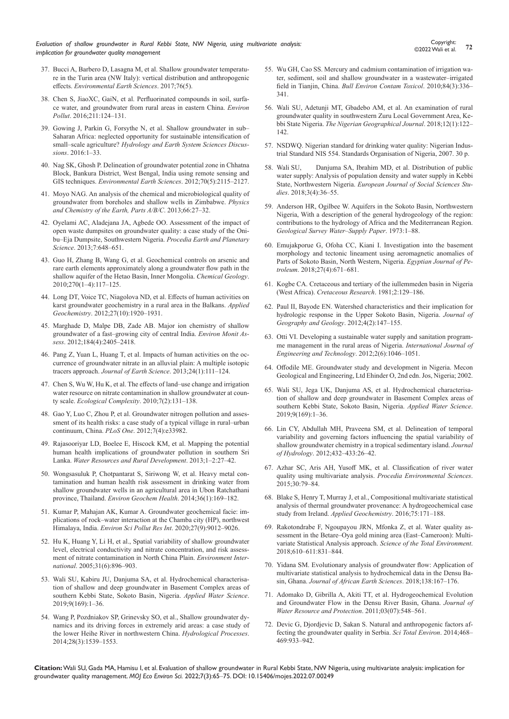- 37. [Bucci A, Barbero D, Lasagna M, et al. Shallow groundwater temperatu](https://link.springer.com/article/10.1007/s12665-017-6546-4)[re in the Turin area \(NW Italy\): vertical distribution and anthropogenic](https://link.springer.com/article/10.1007/s12665-017-6546-4)  effects. *[Environmental Earth Sciences](https://link.springer.com/article/10.1007/s12665-017-6546-4)*. 2017;76(5).
- 38. [Chen S, JiaoXC, GaiN, et al. Perfluorinated compounds in soil, surfa](https://www.sciencedirect.com/science/article/abs/pii/S0269749115302384)[ce water, and groundwater from rural areas in eastern China.](https://www.sciencedirect.com/science/article/abs/pii/S0269749115302384) *Environ Pollut*[. 2016;211:124–131.](https://www.sciencedirect.com/science/article/abs/pii/S0269749115302384)
- 39. [Gowing J, Parkin G, Forsythe N, et al. Shallow groundwater in sub–](https://hess.copernicus.org/preprints/hess-2015-549/) [Saharan Africa: neglected opportunity for sustainable intensification of](https://hess.copernicus.org/preprints/hess-2015-549/)  small–scale agriculture? *[Hydrology and Earth System Sciences Discus](https://hess.copernicus.org/preprints/hess-2015-549/)sions*[. 2016:1–33.](https://hess.copernicus.org/preprints/hess-2015-549/)
- 40. [Nag SK, Ghosh P. Delineation of groundwater potential zone in Chhatna](https://link.springer.com/article/10.1007/s12665-012-1713-0)  [Block, Bankura District, West Bengal, India using remote sensing and](https://link.springer.com/article/10.1007/s12665-012-1713-0)  GIS techniques. *[Environmental Earth Sciences](https://link.springer.com/article/10.1007/s12665-012-1713-0)*. 2012;70(5):2115–2127.
- 41. [Moyo NAG. An analysis of the chemical and microbiological quality of](https://www.sciencedirect.com/science/article/pii/S1474706513000843)  [groundwater from boreholes and shallow wells in Zimbabwe.](https://www.sciencedirect.com/science/article/pii/S1474706513000843) *Physics [and Chemistry of the Earth, Parts A/B/C](https://www.sciencedirect.com/science/article/pii/S1474706513000843)*. 2013;66:27–32.
- 42. Oyelami AC, Aladejana JA, Agbede OO. Assessment of the impact of open waste dumpsites on groundwater quality: a case study of the Onibu–Eja Dumpsite, Southwestern Nigeria. *Procedia Earth and Planetary Science*. 2013;7:648–651.
- 43. [Guo H, Zhang B, Wang G, et al. Geochemical controls on arsenic and](https://www.sciencedirect.com/science/article/abs/pii/S0009254109004604)  [rare earth elements approximately along a groundwater flow path in the](https://www.sciencedirect.com/science/article/abs/pii/S0009254109004604)  [shallow aquifer of the Hetao Basin, Inner Mongolia.](https://www.sciencedirect.com/science/article/abs/pii/S0009254109004604) *Chemical Geology*. [2010;270\(1–4\):117–125.](https://www.sciencedirect.com/science/article/abs/pii/S0009254109004604)
- 44. [Long DT, Voice TC, Niagolova ND, et al. Effects of human activities on](https://www.sciencedirect.com/science/article/abs/pii/S0883292712001680)  [karst groundwater geochemistry in a rural area in the Balkans.](https://www.sciencedirect.com/science/article/abs/pii/S0883292712001680) *Applied Geochemistry*[. 2012;27\(10\):1920–1931.](https://www.sciencedirect.com/science/article/abs/pii/S0883292712001680)
- 45. [Marghade D, Malpe DB, Zade AB. Major ion chemistry of shallow](https://link.springer.com/article/10.1007/s10661-011-2126-3)  [groundwater of a fast–growing city of central India.](https://link.springer.com/article/10.1007/s10661-011-2126-3) *Environ Monit Assess*[. 2012;184\(4\):2405–2418.](https://link.springer.com/article/10.1007/s10661-011-2126-3)
- 46. [Pang Z, Yuan L, Huang T, et al. Impacts of human activities on the oc](https://link.springer.com/article/10.1007/s12583-013-0310-9)[currence of groundwater nitrate in an alluvial plain: A multiple isotopic](https://link.springer.com/article/10.1007/s12583-013-0310-9)  tracers approach. *[Journal of Earth Science](https://link.springer.com/article/10.1007/s12583-013-0310-9)*. 2013;24(1):111–124.
- 47. [Chen S, Wu W, Hu K, et al. The effects of land–use change and irrigation](https://www.sciencedirect.com/science/article/abs/pii/S1476945X1000019X)  [water resource on nitrate contamination in shallow groundwater at coun](https://www.sciencedirect.com/science/article/abs/pii/S1476945X1000019X)ty scale. *[Ecological Complexity](https://www.sciencedirect.com/science/article/abs/pii/S1476945X1000019X)*. 2010;7(2):131–138.
- 48. [Gao Y, Luo C, Zhou P, et al. Groundwater nitrogen pollution and asses](https://journals.plos.org/plosone/article?id=10.1371/journal.pone.0033982)[sment of its health risks: a case study of a typical village in rural–urban](https://journals.plos.org/plosone/article?id=10.1371/journal.pone.0033982)  continuum, China. *PLoS One*[. 2012;7\(4\):e33982.](https://journals.plos.org/plosone/article?id=10.1371/journal.pone.0033982)
- 49. [Rajasooriyar LD, Boelee E, Hiscock KM, et al. Mapping the potential](https://wle.cgiar.org/mapping-potential-human-health-implications-groundwater-pollution-southern-sri-lanka)  [human health implications of groundwater pollution in southern Sri](https://wle.cgiar.org/mapping-potential-human-health-implications-groundwater-pollution-southern-sri-lanka)  Lanka. *[Water Resources and Rural Development](https://wle.cgiar.org/mapping-potential-human-health-implications-groundwater-pollution-southern-sri-lanka)*. 2013;1–2:27–42.
- 50. [Wongsasuluk P, Chotpantarat S, Siriwong W, et al. Heavy metal con](https://pubmed.ncbi.nlm.nih.gov/23771812/)[tamination and human health risk assessment in drinking water from](https://pubmed.ncbi.nlm.nih.gov/23771812/)  [shallow groundwater wells in an agricultural area in Ubon Ratchathani](https://pubmed.ncbi.nlm.nih.gov/23771812/)  province, Thailand. *[Environ Geochem Health](https://pubmed.ncbi.nlm.nih.gov/23771812/)*. 2014;36(1):169–182.
- 51. [Kumar P, Mahajan AK, Kumar A. Groundwater geochemical facie: im](https://link.springer.com/article/10.1007/s11356-019-07078-7)[plications of rock–water interaction at the Chamba city \(HP\), northwest](https://link.springer.com/article/10.1007/s11356-019-07078-7)  Himalaya, India. *[Environ Sci Pollut Res Int](https://link.springer.com/article/10.1007/s11356-019-07078-7)*. 2020;27(9):9012–9026.
- 52. [Hu K, Huang Y, Li H, et al., Spatial variability of shallow groundwater](https://pubmed.ncbi.nlm.nih.gov/16005970/)  [level, electrical conductivity and nitrate concentration, and risk assess](https://pubmed.ncbi.nlm.nih.gov/16005970/)[ment of nitrate contamination in North China Plain.](https://pubmed.ncbi.nlm.nih.gov/16005970/) *Environment International*[. 2005;31\(6\):896–903.](https://pubmed.ncbi.nlm.nih.gov/16005970/)
- 53. [Wali SU, Kabiru JU, Danjuma SA, et al. Hydrochemical characterisa](https://link.springer.com/article/10.1007/s13201-019-1042-5)[tion of shallow and deep groundwater in Basement Complex areas of](https://link.springer.com/article/10.1007/s13201-019-1042-5)  [southern Kebbi State, Sokoto Basin, Nigeria.](https://link.springer.com/article/10.1007/s13201-019-1042-5) *Applied Water Science*. [2019;9\(169\):1–36.](https://link.springer.com/article/10.1007/s13201-019-1042-5)
- 54. [Wang P, Pozdniakov SP, Grinevsky SO, et al., Shallow groundwater dy](https://onlinelibrary.wiley.com/doi/10.1002/hyp.9682)[namics and its driving forces in extremely arid areas: a case study of](https://onlinelibrary.wiley.com/doi/10.1002/hyp.9682)  [the lower Heihe River in northwestern China.](https://onlinelibrary.wiley.com/doi/10.1002/hyp.9682) *Hydrological Processes*. [2014;28\(3\):1539–1553.](https://onlinelibrary.wiley.com/doi/10.1002/hyp.9682)
- 55. [Wu GH, Cao SS. Mercury and cadmium contamination of irrigation wa](https://pubmed.ncbi.nlm.nih.gov/20111947/)[ter, sediment, soil and shallow groundwater in a wastewater–irrigated](https://pubmed.ncbi.nlm.nih.gov/20111947/)  field in Tianjin, China. *[Bull Environ Contam Toxicol](https://pubmed.ncbi.nlm.nih.gov/20111947/)*. 2010;84(3):336– [341.](https://pubmed.ncbi.nlm.nih.gov/20111947/)
- 56. [Wali SU, Adetunji MT, Gbadebo AM, et al. An examination of rural](https://pubmed.ncbi.nlm.nih.gov/18180542/)  [groundwater quality in southwestern Zuru Local Government Area, Ke](https://pubmed.ncbi.nlm.nih.gov/18180542/)bbi State Nigeria. *[The Nigerian Geographical Journal](https://pubmed.ncbi.nlm.nih.gov/18180542/)*. 2018;12(1):122– [142.](https://pubmed.ncbi.nlm.nih.gov/18180542/)
- 57. [NSDWQ. Nigerian standard for drinking water quality: Nigerian Indus](https://www.health.gov.ng/doc/StandardWaterQuality.pdf)[trial Standard NIS 554. Standards Organisation of Nigeria, 2007. 30 p.](https://www.health.gov.ng/doc/StandardWaterQuality.pdf)
- 58. [Wali SU, Danjuma SA, Ibrahim MD, et al. Distribution of public](https://oapub.org/soc/index.php/EJSSS/article/view/472)  [water supply: Analysis of population density and water supply in Kebbi](https://oapub.org/soc/index.php/EJSSS/article/view/472)  State, Northwestern Nigeria. *[European Journal of Social Sciences Stu](https://oapub.org/soc/index.php/EJSSS/article/view/472)dies*[. 2018;3\(4\):36–55.](https://oapub.org/soc/index.php/EJSSS/article/view/472)
- 59. [Anderson HR, Ogilbee W. Aquifers in the Sokoto Basin, Northwestern](https://pubs.usgs.gov/wsp/1757l/report.pdf)  [Nigeria, With a description of the general hydrogeology of the region:](https://pubs.usgs.gov/wsp/1757l/report.pdf)  [contributions to the hydrology of Africa and the Mediterranean Region.](https://pubs.usgs.gov/wsp/1757l/report.pdf)  *[Geological Survey Water–Supply Paper](https://pubs.usgs.gov/wsp/1757l/report.pdf)*. 1973:1–88.
- 60. Emujakporue G, Ofoha CC, Kiani I. Investigation into the basement morphology and tectonic lineament using aeromagnetic anomalies of Parts of Sokoto Basin, North Western, Nigeria. *Egyptian Journal of Petroleum*. 2018;27(4):671–681.
- 61. [Kogbe CA. Cretaceous and tertiary of the iullemmeden basin in Nigeria](https://www.sciencedirect.com/science/article/abs/pii/0195667181900070)  (West Africa). *[Cretaceous Research](https://www.sciencedirect.com/science/article/abs/pii/0195667181900070)*. 1981;2:129–186.
- 62. [Paul II, Bayode EN. Watershed characteristics and their implication for](https://www.ccsenet.org/journal/index.php/jgg/article/view/17571)  [hydrologic response in the Upper Sokoto Basin, Nigeria.](https://www.ccsenet.org/journal/index.php/jgg/article/view/17571) *Journal of [Geography and Geology](https://www.ccsenet.org/journal/index.php/jgg/article/view/17571)*. 2012;4(2):147–155.
- 63. [Otti VI. Developing a sustainable water supply and sanitation program](http://citeseerx.ist.psu.edu/viewdoc/download?doi=10.1.1.411.9479&rep=rep1&type=pdf)[me management in the rural areas of Nigeria.](http://citeseerx.ist.psu.edu/viewdoc/download?doi=10.1.1.411.9479&rep=rep1&type=pdf) *International Journal of [Engineering and Technology](http://citeseerx.ist.psu.edu/viewdoc/download?doi=10.1.1.411.9479&rep=rep1&type=pdf)*. 2012;2(6):1046–1051.
- 64. [Offodile ME. Groundwater study and development in Nigeria. Mecon](http://www.sciepub.com/reference/108387)  [Geological and Engineering, Ltd Ehinder O, 2nd edn. Jos, Nigeria; 2002.](http://www.sciepub.com/reference/108387)
- 65. [Wali SU, Jega UK, Danjuma AS, et al. Hydrochemical characterisa](https://ui.adsabs.harvard.edu/abs/2019ApWS....9..169W/abstract)[tion of shallow and deep groundwater in Basement Complex areas of](https://ui.adsabs.harvard.edu/abs/2019ApWS....9..169W/abstract)  [southern Kebbi State, Sokoto Basin, Nigeria.](https://ui.adsabs.harvard.edu/abs/2019ApWS....9..169W/abstract) *Applied Water Science*. [2019;9\(169\):1–36.](https://ui.adsabs.harvard.edu/abs/2019ApWS....9..169W/abstract)
- 66. [Lin CY, Abdullah MH, Praveena SM, et al. Delineation of temporal](https://www.cabdirect.org/cabdirect/abstract/20123113123)  [variability and governing factors influencing the spatial variability of](https://www.cabdirect.org/cabdirect/abstract/20123113123)  [shallow groundwater chemistry in a tropical sedimentary island.](https://www.cabdirect.org/cabdirect/abstract/20123113123) *Journal of Hydrology*[. 2012;432–433:26–42.](https://www.cabdirect.org/cabdirect/abstract/20123113123)
- 67. [Azhar SC, Aris AH, Yusoff MK, et al. Classification of river water](https://www.sciencedirect.com/science/article/pii/S1878029615006088)  [quality using multivariate analysis.](https://www.sciencedirect.com/science/article/pii/S1878029615006088) *Procedia Environmental Sciences*. [2015;30:79–84.](https://www.sciencedirect.com/science/article/pii/S1878029615006088)
- 68. [Blake S, Henry T, Murray J, et al., Compositional multivariate statistical](https://www.sciencedirect.com/science/article/abs/pii/S0883292716300853)  [analysis of thermal groundwater provenance: A hydrogeochemical case](https://www.sciencedirect.com/science/article/abs/pii/S0883292716300853)  study from Ireland. *[Applied Geochemistry](https://www.sciencedirect.com/science/article/abs/pii/S0883292716300853)*. 2016;75:171–188.
- 69. [Rakotondrabe F, Ngoupayou JRN, Mfonka Z, et al. Water quality as](https://www.sciencedirect.com/science/article/abs/pii/S004896971732079X)[sessment in the Betare–Oya gold mining area \(East–Cameroon\): Multi](https://www.sciencedirect.com/science/article/abs/pii/S004896971732079X)[variate Statistical Analysis approach.](https://www.sciencedirect.com/science/article/abs/pii/S004896971732079X) *Science of the Total Environment*. [2018;610–611:831–844.](https://www.sciencedirect.com/science/article/abs/pii/S004896971732079X)
- 70. Yidana SM. Evolutionary analysis of groundwater flow: Application of multivariate statistical analysis to hydrochemical data in the Densu Basin, Ghana. *Journal of African Earth Sciences*. 2018;138:167–176.
- 71. [Adomako D, Gibrilla A, Akiti TT, et al. Hydrogeochemical Evolution](https://www.scirp.org/journal/paperinformation.aspx?paperid=6320)  [and Groundwater Flow in the Densu River Basin, Ghana.](https://www.scirp.org/journal/paperinformation.aspx?paperid=6320) *Journal of [Water Resource and Protection](https://www.scirp.org/journal/paperinformation.aspx?paperid=6320)*. 2011;03(07):548–561.
- 72. [Devic G, Djordjevic D, Sakan S. Natural and anthropogenic factors af](https://www.sciencedirect.com/science/article/abs/pii/S0048969713010395)[fecting the groundwater quality in Serbia.](https://www.sciencedirect.com/science/article/abs/pii/S0048969713010395) *Sci Total Environ*. 2014;468– [469:933–942.](https://www.sciencedirect.com/science/article/abs/pii/S0048969713010395)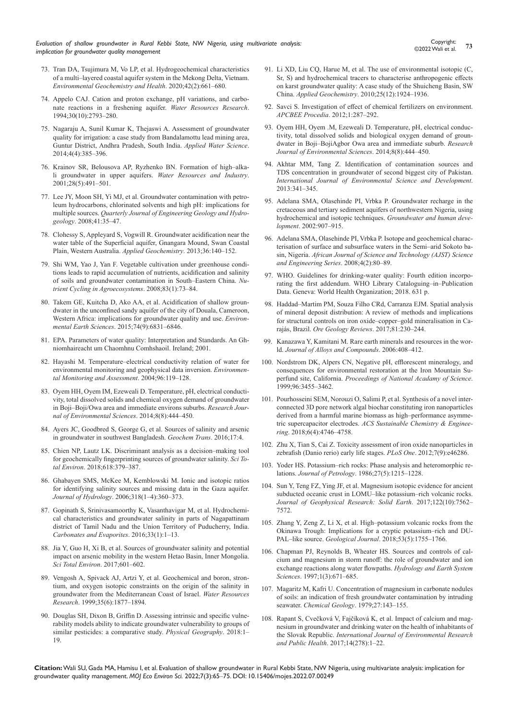*Evaluation of shallow groundwater in Rural Kebbi State, NW Nigeria, using multivariate analysis: implication for groundwater quality management*

- 73. [Tran DA, Tsujimura M, Vo LP, et al. Hydrogeochemical characteristics](https://link.springer.com/article/10.1007/s10653-019-00400-9)  [of a multi–layered coastal aquifer system in the Mekong Delta, Vietnam.](https://link.springer.com/article/10.1007/s10653-019-00400-9)  *[Environmental Geochemistry and Health](https://link.springer.com/article/10.1007/s10653-019-00400-9)*. 2020;42(2):661–680.
- 74. [Appelo CAJ. Cation and proton exchange, pH variations, and carbo](https://agupubs.onlinelibrary.wiley.com/doi/abs/10.1029/94WR01048)[nate reactions in a freshening aquifer.](https://agupubs.onlinelibrary.wiley.com/doi/abs/10.1029/94WR01048) *Water Resources Research*. [1994;30\(10\):2793–280.](https://agupubs.onlinelibrary.wiley.com/doi/abs/10.1029/94WR01048)
- 75. [Nagaraju A, Sunil Kumar K, Thejaswi A. Assessment of groundwater](https://link.springer.com/article/10.1007/s13201-014-0154-1)  [quality for irrigation: a case study from Bandalamottu lead mining area,](https://link.springer.com/article/10.1007/s13201-014-0154-1)  [Guntur District, Andhra Pradesh, South India.](https://link.springer.com/article/10.1007/s13201-014-0154-1) *Applied Water Science*. [2014;4\(4\):385–396.](https://link.springer.com/article/10.1007/s13201-014-0154-1)
- 76. [Krainov SR, Belousova AP, Ryzhenko BN. Formation of high–alka](https://link.springer.com/article/10.1023/A:1012372904504?noAccess=true)[li groundwater in upper aquifers.](https://link.springer.com/article/10.1023/A:1012372904504?noAccess=true) *Water Resources and Industry*. [2001;28\(5\):491–501.](https://link.springer.com/article/10.1023/A:1012372904504?noAccess=true)
- 77. [Lee JY, Moon SH, Yi MJ, et al. Groundwater contamination with petro](https://pubs.geoscienceworld.org/qjegh/article-abstract/41/1/35/324945/Groundwater-contamination-with-petroleum)[leum hydrocarbons, chlorinated solvents and high pH: implications for](https://pubs.geoscienceworld.org/qjegh/article-abstract/41/1/35/324945/Groundwater-contamination-with-petroleum)  multiple sources. *[Quarterly Journal of Engineering Geology and Hydro](https://pubs.geoscienceworld.org/qjegh/article-abstract/41/1/35/324945/Groundwater-contamination-with-petroleum)geology*[. 2008;41:35–47.](https://pubs.geoscienceworld.org/qjegh/article-abstract/41/1/35/324945/Groundwater-contamination-with-petroleum)
- 78. [Clohessy S, Appleyard S, Vogwill R. Groundwater acidification near the](https://www.sciencedirect.com/science/article/abs/pii/S0883292713001510)  [water table of the Superficial aquifer, Gnangara Mound, Swan Coastal](https://www.sciencedirect.com/science/article/abs/pii/S0883292713001510)  [Plain, Western Australia.](https://www.sciencedirect.com/science/article/abs/pii/S0883292713001510) *Applied Geochemistry*. 2013;36:140–152.
- 79. [Shi WM, Yao J, Yan F. Vegetable cultivation under greenhouse condi](https://link.springer.com/article/10.1007/s10705-008-9201-3)[tions leads to rapid accumulation of nutrients, acidification and salinity](https://link.springer.com/article/10.1007/s10705-008-9201-3)  [of soils and groundwater contamination in South–Eastern China.](https://link.springer.com/article/10.1007/s10705-008-9201-3) *Nu[trient Cycling in Agroecosystems](https://link.springer.com/article/10.1007/s10705-008-9201-3)*. 2008;83(1):73–84.
- 80. [Takem GE, Kuitcha D, Ako AA, et al. Acidification of shallow groun](https://link.springer.com/article/10.1007/s12665-015-4681-3)[dwater in the unconfined sandy aquifer of the city of Douala, Cameroon,](https://link.springer.com/article/10.1007/s12665-015-4681-3)  [Western Africa: implications for groundwater quality and use.](https://link.springer.com/article/10.1007/s12665-015-4681-3) *Environmental Earth Sciences*[. 2015;74\(9\):6831–6846.](https://link.springer.com/article/10.1007/s12665-015-4681-3)
- 81. [EPA. Parameters of water quality: Interpretation and Standards. An Gh](https://www.scirp.org/%28S%28vtj3fa45qm1ean45vvffcz55%29%29/reference/referencespapers.aspx?referenceid=2134975)[niomhaireacht um Chaomhnu Comhshaoil. Ireland; 2001.](https://www.scirp.org/%28S%28vtj3fa45qm1ean45vvffcz55%29%29/reference/referencespapers.aspx?referenceid=2134975)
- 82. [Hayashi M. Temperature–electrical conductivity relation of water for](https://pubmed.ncbi.nlm.nih.gov/15327152/)  [environmental monitoring and geophysical data inversion.](https://pubmed.ncbi.nlm.nih.gov/15327152/) *Environmen[tal Monitoring and Assessment](https://pubmed.ncbi.nlm.nih.gov/15327152/)*. 2004;96:119–128.
- 83. [Oyem HH, Oyem IM, Ezeweali D. Temperature, pH, electrical conducti](https://scialert.net/abstract/?doi=rjes.2014.444.450)[vity, total dissolved solids and chemical oxygen demand of groundwater](https://scialert.net/abstract/?doi=rjes.2014.444.450)  [in Boji–Boji/Owa area and immediate environs suburbs.](https://scialert.net/abstract/?doi=rjes.2014.444.450) *Research Jour[nal of Environmental Sciences](https://scialert.net/abstract/?doi=rjes.2014.444.450)*. 2014;8(8):444–450.
- 84. [Ayers JC, Goodbred S, George G, et al. Sources of salinity and arsenic](https://pubmed.ncbi.nlm.nih.gov/27403083/)  [in groundwater in southwest Bangladesh.](https://pubmed.ncbi.nlm.nih.gov/27403083/) *Geochem Trans*. 2016;17:4.
- 85. [Chien NP, Lautz LK. Discriminant analysis as a decision–making tool](https://www.sciencedirect.com/science/article/abs/pii/S0048969717330814)  [for geochemically fingerprinting sources of groundwater salinity.](https://www.sciencedirect.com/science/article/abs/pii/S0048969717330814) *Sci Total Environ*[. 2018;618:379–387.](https://www.sciencedirect.com/science/article/abs/pii/S0048969717330814)
- 86. [Ghabayen SMS, McKee M, Kemblowski M. Ionic and isotopic ratios](https://ui.adsabs.harvard.edu/abs/2006JHyd..318..360G/abstract)  [for identifying salinity sources and missing data in the Gaza aquifer.](https://ui.adsabs.harvard.edu/abs/2006JHyd..318..360G/abstract)  *Journal of Hydrology*[. 2006;318\(1–4\):360–373.](https://ui.adsabs.harvard.edu/abs/2006JHyd..318..360G/abstract)
- 87. [Gopinath S, Srinivasamoorthy K, Vasanthavigar M, et al. Hydrochemi](https://link.springer.com/article/10.1007/s13146-016-0300-y)[cal characteristics and groundwater salinity in parts of Nagapattinam](https://link.springer.com/article/10.1007/s13146-016-0300-y)  [district of Tamil Nadu and the Union Territory of Puducherry, India.](https://link.springer.com/article/10.1007/s13146-016-0300-y)  *[Carbonates and Evaporites](https://link.springer.com/article/10.1007/s13146-016-0300-y)*. 2016;33(1):1–13.
- 88. [Jia Y, Guo H, Xi B, et al. Sources of groundwater salinity and potential](https://pubmed.ncbi.nlm.nih.gov/28577404/)  [impact on arsenic mobility in the western Hetao Basin, Inner Mongolia.](https://pubmed.ncbi.nlm.nih.gov/28577404/)  *[Sci Total Environ](https://pubmed.ncbi.nlm.nih.gov/28577404/)*. 2017;601–602.
- 89. [Vengosh A, Spivack AJ, Artzi Y, et al. Geochemical and boron, stron](https://agupubs.onlinelibrary.wiley.com/doi/abs/10.1029/1999WR900024)[tium, and oxygen isotopic constraints on the origin of the salinity in](https://agupubs.onlinelibrary.wiley.com/doi/abs/10.1029/1999WR900024)  [groundwater from the Mediterranean Coast of Israel.](https://agupubs.onlinelibrary.wiley.com/doi/abs/10.1029/1999WR900024) *Water Resources Research*[. 1999;35\(6\):1877–1894.](https://agupubs.onlinelibrary.wiley.com/doi/abs/10.1029/1999WR900024)
- 90. [Douglas SH, Dixon B, Griffin D. Assessing intrinsic and specific vulne](https://pubs.er.usgs.gov/publication/70195167)[rability models ability to indicate groundwater vulnerability to groups of](https://pubs.er.usgs.gov/publication/70195167)  [similar pesticides: a comparative study.](https://pubs.er.usgs.gov/publication/70195167) *Physical Geography*. 2018:1– [19.](https://pubs.er.usgs.gov/publication/70195167)
- 91. [Li XD, Liu CQ, Harue M, et al. The use of environmental isotopic \(C,](https://www.sciencedirect.com/science/article/abs/pii/S0883292710002295)  [Sr, S\) and hydrochemical tracers to characterise anthropogenic effects](https://www.sciencedirect.com/science/article/abs/pii/S0883292710002295)  [on karst groundwater quality: A case study of the Shuicheng Basin, SW](https://www.sciencedirect.com/science/article/abs/pii/S0883292710002295)  China. *Applied Geochemistry*[. 2010;25\(12\):1924–1936.](https://www.sciencedirect.com/science/article/abs/pii/S0883292710002295)
- 92. [Savci S. Investigation of effect of chemical fertilizers on environment.](https://www.sciencedirect.com/science/article/pii/S2212670812000486)  *[APCBEE Procedia](https://www.sciencedirect.com/science/article/pii/S2212670812000486)*. 2012;1:287–292.
- 93. [Oyem HH, Oyem .M, Ezeweali D. Temperature, pH, electrical conduc](https://www.cabdirect.org/cabdirect/abstract/20153228995)[tivity, total dissolved solids and biological oxygen demand of groun](https://www.cabdirect.org/cabdirect/abstract/20153228995)[dwater in Boji–BojiAgbor Owa area and immediate suburb.](https://www.cabdirect.org/cabdirect/abstract/20153228995) *Research [Journal of Environmental Sciences](https://www.cabdirect.org/cabdirect/abstract/20153228995)*. 2014;8(8):444–450.
- 94. [Akhtar MM, Tang Z. Identification of contamination sources and](http://www.ijesd.org/index.php?m=content&c=index&a=show&catid=43&id=657)  [TDS concentration in groundwater of second biggest city of Pakistan.](http://www.ijesd.org/index.php?m=content&c=index&a=show&catid=43&id=657)  *[International Journal of Environmental Science and Development](http://www.ijesd.org/index.php?m=content&c=index&a=show&catid=43&id=657)*. [2013:341–345.](http://www.ijesd.org/index.php?m=content&c=index&a=show&catid=43&id=657)
- 95. [Adelana SMA, Olasehinde PI, Vrbka P. Groundwater recharge in the](https://pdfcookie.com/documents/groundwater-recharge-in-the-cretaceous-and-tertiary-sediment-aquifers-of-northwestern-nigeria-using-hydrochemical-and-isotopic-techniques-eg27oj0k64v0)  [cretaceous and tertiary sediment aquifers of northwestern Nigeria, using](https://pdfcookie.com/documents/groundwater-recharge-in-the-cretaceous-and-tertiary-sediment-aquifers-of-northwestern-nigeria-using-hydrochemical-and-isotopic-techniques-eg27oj0k64v0)  [hydrochemical and isotopic techniques.](https://pdfcookie.com/documents/groundwater-recharge-in-the-cretaceous-and-tertiary-sediment-aquifers-of-northwestern-nigeria-using-hydrochemical-and-isotopic-techniques-eg27oj0k64v0) *Groundwater and human development*[. 2002:907–915.](https://pdfcookie.com/documents/groundwater-recharge-in-the-cretaceous-and-tertiary-sediment-aquifers-of-northwestern-nigeria-using-hydrochemical-and-isotopic-techniques-eg27oj0k64v0)
- 96. [Adelana SMA, Olasehinde PI, Vrbka P. Isotope and geochemical charac](https://www.ajol.info/index.php/ajst/article/view/15298)[terisation of surface and subsurface waters in the Semi–arid Sokoto ba](https://www.ajol.info/index.php/ajst/article/view/15298)sin, Nigeria. *[African Journal of Science and Technology \(AJST\) Science](https://www.ajol.info/index.php/ajst/article/view/15298)  [and Engineering Series](https://www.ajol.info/index.php/ajst/article/view/15298)*. 2008;4(2):80–89.
- 97. [WHO. Guidelines for drinking-water quality: Fourth edition incorpo](https://www.who.int/publications/i/item/9789241549950)[rating the first addendum. WHO Library Cataloguing–in–Publication](https://www.who.int/publications/i/item/9789241549950)  [Data. Geneva: World Health Organization; 2018. 631 p.](https://www.who.int/publications/i/item/9789241549950)
- 98. [Haddad–Martim PM, Souza Filho CRd, Carranza EJM. Spatial analysis](https://www.sciencedirect.com/science/article/abs/pii/S0169136816302049)  [of mineral deposit distribution: A review of methods and implications](https://www.sciencedirect.com/science/article/abs/pii/S0169136816302049)  [for structural controls on iron oxide–copper–gold mineralisation in Ca](https://www.sciencedirect.com/science/article/abs/pii/S0169136816302049)rajás, Brazil. *[Ore Geology Reviews](https://www.sciencedirect.com/science/article/abs/pii/S0169136816302049)*. 2017;81:230–244.
- 99. [Kanazawa Y, Kamitani M. Rare earth minerals and resources in the wor](https://www.sciencedirect.com/science/article/abs/pii/S0925838805004445)ld. *[Journal of Alloys and Compounds](https://www.sciencedirect.com/science/article/abs/pii/S0925838805004445)*. 2006:408–412.
- 100. [Nordstrom DK, Alpers CN, Negative pH, efflorescent mineralogy, and](https://www.pnas.org/doi/10.1073/pnas.96.7.3455)  [consequences for environmental restoration at the Iron Mountain Su](https://www.pnas.org/doi/10.1073/pnas.96.7.3455)perfund site, California. *[Proceedings of National Acadamy of Science](https://www.pnas.org/doi/10.1073/pnas.96.7.3455)*. [1999;96:3455–3462.](https://www.pnas.org/doi/10.1073/pnas.96.7.3455)
- 101. [Pourhosseini SEM, Norouzi O, Salimi P, et al. Synthesis of a novel inter](https://pubs.acs.org/doi/abs/10.1021/acssuschemeng.7b03871)[connected 3D pore network algal biochar constituting iron nanoparticles](https://pubs.acs.org/doi/abs/10.1021/acssuschemeng.7b03871)  [derived from a harmful marine biomass as high–performance asymme](https://pubs.acs.org/doi/abs/10.1021/acssuschemeng.7b03871)tric supercapacitor electrodes. *[ACS Sustainable Chemistry & Enginee](https://pubs.acs.org/doi/abs/10.1021/acssuschemeng.7b03871)ring*[. 2018;6\(4\):4746–4758.](https://pubs.acs.org/doi/abs/10.1021/acssuschemeng.7b03871)
- 102. [Zhu X, Tian S, Cai Z. Toxicity assessment of iron oxide nanoparticles in](https://pubmed.ncbi.nlm.nih.gov/23029464/)  [zebrafish \(Danio rerio\) early life stages.](https://pubmed.ncbi.nlm.nih.gov/23029464/) *PLoS One*. 2012;7(9):e46286.
- 103. [Yoder HS. Potassium–rich rocks: Phase analysis and heteromorphic re](https://academic.oup.com/petrology/article-abstract/27/5/1215/1447282)lations. *Journal of Petrology*[. 1986;27\(5\):1215–1228.](https://academic.oup.com/petrology/article-abstract/27/5/1215/1447282)
- 104. [Sun Y, Teng FZ, Ying JF, et al. Magnesium isotopic evidence for ancient](https://agupubs.onlinelibrary.wiley.com/doi/10.1002/2017JB014560)  [subducted oceanic crust in LOMU–like potassium–rich volcanic rocks.](https://agupubs.onlinelibrary.wiley.com/doi/10.1002/2017JB014560)  *[Journal of Geophysical Research: Solid Earth](https://agupubs.onlinelibrary.wiley.com/doi/10.1002/2017JB014560)*. 2017;122(10):7562– [7572.](https://agupubs.onlinelibrary.wiley.com/doi/10.1002/2017JB014560)
- 105. [Zhang Y, Zeng Z, Li X, et al. High–potassium volcanic rocks from the](https://onlinelibrary.wiley.com/doi/abs/10.1002/gj.3000)  [Okinawa Trough: Implications for a cryptic potassium–rich and DU-](https://onlinelibrary.wiley.com/doi/abs/10.1002/gj.3000)PAL–like source. *Geological Journal*[. 2018;53\(5\):1755–1766.](https://onlinelibrary.wiley.com/doi/abs/10.1002/gj.3000)
- 106. [Chapman PJ, Reynolds B, Wheater HS. Sources and controls of cal](https://hess.copernicus.org/articles/1/671/1997/)[cium and magnesium in storm runoff: the role of groundwater and ion](https://hess.copernicus.org/articles/1/671/1997/)  [exchange reactions along water flowpaths.](https://hess.copernicus.org/articles/1/671/1997/) *Hydrology and Earth System Sciences*[. 1997;1\(3\):671–685.](https://hess.copernicus.org/articles/1/671/1997/)
- 107. [Magaritz M, Kafri U. Concentration of magnesium in carbonate nodules](https://ur.booksc.me/book/15961382/abeb1e)  [of soils: an indication of fresh groundwater contamination by intruding](https://ur.booksc.me/book/15961382/abeb1e)  seawater. *Chemical Geology*[. 1979;27:143–155.](https://ur.booksc.me/book/15961382/abeb1e)
- 108. [Rapant S, Cvečková V, Fajčíková K, et al. Impact of calcium and mag](https://pubmed.ncbi.nlm.nih.gov/28282877/)[nesium in groundwater and drinking water on the health of inhabitants of](https://pubmed.ncbi.nlm.nih.gov/28282877/)  the Slovak Republic. *[International Journal of Environmental Research](https://pubmed.ncbi.nlm.nih.gov/28282877/)  and Public Health*[. 2017;14\(278\):1–22.](https://pubmed.ncbi.nlm.nih.gov/28282877/)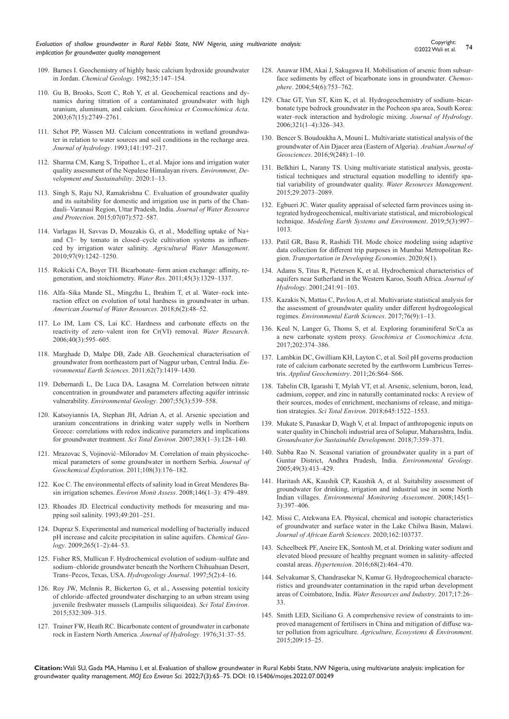*Evaluation of shallow groundwater in Rural Kebbi State, NW Nigeria, using multivariate analysis: implication for groundwater quality management*

- 109. [Barnes I. Geochemistry of highly basic calcium hydroxide groundwater](http://datadiscoverystudio.org/geoportal/rest/metadata/item/1dd3f835ad1541ea897676c33d61f036/html)  in Jordan. *Chemical Geology*[. 1982;35:147–154.](http://datadiscoverystudio.org/geoportal/rest/metadata/item/1dd3f835ad1541ea897676c33d61f036/html)
- 110. [Gu B, Brooks, Scott C, Roh Y, et al. Geochemical reactions and dy](https://ui.adsabs.harvard.edu/abs/2003GeCoA..67.2749G/abstract)[namics during titration of a contaminated groundwater with high](https://ui.adsabs.harvard.edu/abs/2003GeCoA..67.2749G/abstract)  uranium, aluminum, and calcium. *[Geochimica et Cosmochimica Acta](https://ui.adsabs.harvard.edu/abs/2003GeCoA..67.2749G/abstract)*. [2003;67\(15\):2749–2761.](https://ui.adsabs.harvard.edu/abs/2003GeCoA..67.2749G/abstract)
- 111. [Schot PP, Wassen MJ. Calcium concentrations in wetland groundwa](https://www.sciencedirect.com/science/article/abs/pii/002216949390050J)[ter in relation to water sources and soil conditions in the recharge area.](https://www.sciencedirect.com/science/article/abs/pii/002216949390050J)  *[Journal of hydrology](https://www.sciencedirect.com/science/article/abs/pii/002216949390050J)*. 1993;141:197–217.
- 112. [Sharma CM, Kang S, Tripathee L, et al. Major ions and irrigation water](https://link.springer.com/article/10.1007/s10668-020-00694-1)  [quality assessment of the Nepalese Himalayan rivers.](https://link.springer.com/article/10.1007/s10668-020-00694-1) *Environment, De[velopment and Sustainability](https://link.springer.com/article/10.1007/s10668-020-00694-1)*. 2020:1–13.
- 113. [Singh S, Raju NJ, Ramakrishna C. Evaluation of groundwater quality](https://www.sciencedirect.com/science/article/abs/pii/S0378377410001010)  [and its suitability for domestic and irrigation use in parts of the Chan](https://www.sciencedirect.com/science/article/abs/pii/S0378377410001010)[dauli–Varanasi Region, Uttar Pradesh, India.](https://www.sciencedirect.com/science/article/abs/pii/S0378377410001010) *Journal of Water Resource and Protection*[. 2015;07\(07\):572–587.](https://www.sciencedirect.com/science/article/abs/pii/S0378377410001010)
- 114. [Varlagas H, Savvas D, Mouzakis G, et al., Modelling uptake of Na+](https://www.sciencedirect.com/science/article/abs/pii/S0378377410001010)  [and Cl− by tomato in closed–cycle cultivation systems as influen](https://www.sciencedirect.com/science/article/abs/pii/S0378377410001010)[ced by irrigation water salinity.](https://www.sciencedirect.com/science/article/abs/pii/S0378377410001010) *Agricultural Water Management*. [2010;97\(9\):1242–1250.](https://www.sciencedirect.com/science/article/abs/pii/S0378377410001010)
- 115. [Rokicki CA, Boyer TH. Bicarbonate–form anion exchange: affinity, re](https://www.sciencedirect.com/science/article/abs/pii/S004313541000713X)[generation, and stoichiometry.](https://www.sciencedirect.com/science/article/abs/pii/S004313541000713X) *Water Res*. 2011;45(3):1329–1337.
- 116. [Alfa–Sika Mande SL, Mingzhu L, Ibrahim T, et al. Water–rock inte](http://article.journalofwaterresources.com/pdf/ajwr-6-2-1.pdf)[raction effect on evolution of total hardness in groundwater in urban.](http://article.journalofwaterresources.com/pdf/ajwr-6-2-1.pdf)  *[American Journal of Water Resources.](http://article.journalofwaterresources.com/pdf/ajwr-6-2-1.pdf)* 2018;6(2):48–52.
- 117. [Lo IM, Lam CS, Lai KC. Hardness and carbonate effects on the](https://www.sciencedirect.com/science/article/abs/pii/S004313540500672X)  [reactivity of zero–valent iron for Cr\(VI\) removal.](https://www.sciencedirect.com/science/article/abs/pii/S004313540500672X) *Water Research*. [2006;40\(3\):595–605.](https://www.sciencedirect.com/science/article/abs/pii/S004313540500672X)
- 118. [Marghade D, Malpe DB, Zade AB. Geochemical characterisation of](https://www.proquest.com/openview/d902b3cc29ee8badcd1b29aad3e8a7a5/1?pq-origsite=gscholar&cbl=54063)  [groundwater from northeastern part of Nagpur urban, Central India.](https://www.proquest.com/openview/d902b3cc29ee8badcd1b29aad3e8a7a5/1?pq-origsite=gscholar&cbl=54063) *En[vironmental Earth Sciences](https://www.proquest.com/openview/d902b3cc29ee8badcd1b29aad3e8a7a5/1?pq-origsite=gscholar&cbl=54063)*. 2011;62(7):1419–1430.
- 119. [Debernardi L, De Luca DA, Lasagna M. Correlation between nitrate](https://link.springer.com/article/10.1007/s00254-007-1006-1)  [concentration in groundwater and parameters affecting aquifer intrinsic](https://link.springer.com/article/10.1007/s00254-007-1006-1)  vulnerability. *[Environmental Geology](https://link.springer.com/article/10.1007/s00254-007-1006-1)*. 2007;55(3):539–558.
- 120. [Katsoyiannis IA, Stephan JH, Adrian A, et al. Arsenic speciation and](https://pubmed.ncbi.nlm.nih.gov/17570466/)  [uranium concentrations in drinking water supply wells in Northern](https://pubmed.ncbi.nlm.nih.gov/17570466/)  [Greece: correlations with redox indicative parameters and implications](https://pubmed.ncbi.nlm.nih.gov/17570466/)  [for groundwater treatment.](https://pubmed.ncbi.nlm.nih.gov/17570466/) *Sci Total Environ*. 2007;383(1–3):128–140.
- 121. [Mrazovac S, Vojinović–Miloradov M. Correlation of main physicoche](https://www.sciencedirect.com/science/article/abs/pii/S0375674211000069)[mical parameters of some groundwater in northern Serbia.](https://www.sciencedirect.com/science/article/abs/pii/S0375674211000069) *Journal of [Geochemical Exploration](https://www.sciencedirect.com/science/article/abs/pii/S0375674211000069)*. 2011;108(3):176–182.
- 122. [Koc C. The environmental effects of salinity load in Great Menderes Ba](https://pubmed.ncbi.nlm.nih.gov/18696237/)sin irrigation schemes. *Environ Monit Assess*[. 2008;146\(1–3\): 479–489.](https://pubmed.ncbi.nlm.nih.gov/18696237/)
- 123. [Rhoades JD. Electrical conductivity methods for measuring and ma](https://www.sciencedirect.com/science/article/abs/pii/S0065211308607956)[pping soil salinity. 1993;49:201–251.](https://www.sciencedirect.com/science/article/abs/pii/S0065211308607956)
- 124. [Dupraz S. Experimental and numerical modelling of bacterially induced](https://www.infona.pl/resource/bwmeta1.element.elsevier-a49e5ba1-73e7-3651-ace2-d9d73db0e9d4)  [pH increase and calcite precipitation in saline aquifers.](https://www.infona.pl/resource/bwmeta1.element.elsevier-a49e5ba1-73e7-3651-ace2-d9d73db0e9d4) *Chemical Geology*[. 2009;265\(1–2\):44–53.](https://www.infona.pl/resource/bwmeta1.element.elsevier-a49e5ba1-73e7-3651-ace2-d9d73db0e9d4)
- 125. [Fisher RS, Mullican F. Hydrochemical evolution of sodium–sulfate and](https://link.springer.com/article/10.1007/s100400050102)  [sodium–chloride groundwater beneath the Northern Chihuahuan Desert,](https://link.springer.com/article/10.1007/s100400050102)  [Trans–Pecos, Texas, USA.](https://link.springer.com/article/10.1007/s100400050102) *Hydrogeology Journal*. 1997;5(2):4–16.
- 126. [Roy JW, McInnis R, Bickerton G, et al., Assessing potential toxicity](https://pubmed.ncbi.nlm.nih.gov/26081733/)  [of chloride–affected groundwater discharging to an urban stream using](https://pubmed.ncbi.nlm.nih.gov/26081733/)  [juvenile freshwater mussels \(Lampsilis siliquoidea\).](https://pubmed.ncbi.nlm.nih.gov/26081733/) *Sci Total Environ*. [2015;532:309–315.](https://pubmed.ncbi.nlm.nih.gov/26081733/)
- 127. [Trainer FW, Heath RC. Bicarbonate content of groundwater in carbonate](https://www.sciencedirect.com/science/article/abs/pii/0022169476900196)  [rock in Eastern North America.](https://www.sciencedirect.com/science/article/abs/pii/0022169476900196) *Journal of Hydrology*. 1976;31:37–55.
- 128. [Anawar HM, Akai J, Sakugawa H. Mobilisation of arsenic from subsur](https://pubmed.ncbi.nlm.nih.gov/14602108/)[face sediments by effect of bicarbonate ions in groundwater.](https://pubmed.ncbi.nlm.nih.gov/14602108/) *Chemosphere*[. 2004;54\(6\):753–762.](https://pubmed.ncbi.nlm.nih.gov/14602108/)
- 129. [Chae GT, Yun ST, Kim K, et al. Hydrogeochemistry of sodium–bicar](https://www.sciencedirect.com/science/article/abs/pii/S0022169405003951)[bonate type bedrock groundwater in the Pocheon spa area, South Korea:](https://www.sciencedirect.com/science/article/abs/pii/S0022169405003951)  [water–rock interaction and hydrologic mixing.](https://www.sciencedirect.com/science/article/abs/pii/S0022169405003951) *Journal of Hydrology*. [2006;321\(1–4\):326–343.](https://www.sciencedirect.com/science/article/abs/pii/S0022169405003951)
- 130. [Bencer S. Boudoukha A, Mouni L. Multivariate statistical analysis of the](https://link.springer.com/article/10.1007/s12517-015-2277-6)  [groundwater of Ain Djacer area \(Eastern of Algeria\).](https://link.springer.com/article/10.1007/s12517-015-2277-6) *Arabian Journal of Geosciences*[. 2016;9\(248\):1–10.](https://link.springer.com/article/10.1007/s12517-015-2277-6)
- 131. [Belkhiri L, Narany TS. Using multivariate statistical analysis, geosta](https://link.springer.com/article/10.1007/s11269-015-0929-7)[tistical techniques and structural equation modelling to identify spa](https://link.springer.com/article/10.1007/s11269-015-0929-7)[tial variability of groundwater quality.](https://link.springer.com/article/10.1007/s11269-015-0929-7) *Water Resources Management*. [2015;29:2073–2089.](https://link.springer.com/article/10.1007/s11269-015-0929-7)
- 132. [Egbueri JC. Water quality appraisal of selected farm provinces using in](https://ouci.dntb.gov.ua/en/works/9JeRAM1l/)[tegrated hydrogeochemical, multivariate statistical, and microbiological](https://ouci.dntb.gov.ua/en/works/9JeRAM1l/)  technique. *[Modeling Earth Systems and Environment](https://ouci.dntb.gov.ua/en/works/9JeRAM1l/)*. 2019;5(3):997– [1013.](https://ouci.dntb.gov.ua/en/works/9JeRAM1l/)
- 133. [Patil GR, Basu R, Rashidi TH. Mode choice modeling using adaptive](https://link.springer.com/article/10.1007/s40890-020-0099-z)  [data collection for different trip purposes in Mumbai Metropolitan Re](https://link.springer.com/article/10.1007/s40890-020-0099-z)gion. *[Transportation in Developing Economies](https://link.springer.com/article/10.1007/s40890-020-0099-z)*. 2020;6(1).
- 134. [Adams S, Titus R, Pietersen K, et al. Hydrochemical characteristics of](https://www.sciencedirect.com/science/article/abs/pii/S002216940000370X)  [aquifers near Sutherland in the Western Karoo, South Africa.](https://www.sciencedirect.com/science/article/abs/pii/S002216940000370X) *Journal of Hydrology*[. 2001;241:91–103.](https://www.sciencedirect.com/science/article/abs/pii/S002216940000370X)
- 135. [Kazakis N, Mattas C, Pavlou A, et al. Multivariate statistical analysis for](https://link.springer.com/article/10.1007/s12665-017-6665-y)  [the assessment of groundwater quality under different hydrogeological](https://link.springer.com/article/10.1007/s12665-017-6665-y)  regimes. *[Environmental Earth Sciences](https://link.springer.com/article/10.1007/s12665-017-6665-y)*. 2017;76(9):1–13.
- 136. [Keul N, Langer G, Thoms S, et al. Exploring foraminiferal Sr/Ca as](https://www.sciencedirect.com/science/article/abs/pii/S0016703716306640)  a new carbonate system proxy. *[Geochimica et Cosmochimica Acta](https://www.sciencedirect.com/science/article/abs/pii/S0016703716306640)*. [2017;202:374–386.](https://www.sciencedirect.com/science/article/abs/pii/S0016703716306640)
- 137. [Lambkin DC, Gwilliam KH, Layton C, et al. Soil pH governs production](https://www.sciencedirect.com/science/article/abs/pii/S0883292711001119)  [rate of calcium carbonate secreted by the earthworm Lumbricus Terres](https://www.sciencedirect.com/science/article/abs/pii/S0883292711001119)tris. *[Applied Geochemistry](https://www.sciencedirect.com/science/article/abs/pii/S0883292711001119)*. 2011;26:S64–S66.
- 138. [Tabelin CB, Igarashi T, Mylah VT, et al. Arsenic, selenium, boron, lead,](https://www.sciencedirect.com/science/article/abs/pii/S0048969718325476)  [cadmium, copper, and zinc in naturally contaminated rocks: A review of](https://www.sciencedirect.com/science/article/abs/pii/S0048969718325476)  [their sources, modes of enrichment, mechanisms of release, and mitiga](https://www.sciencedirect.com/science/article/abs/pii/S0048969718325476)tion strategies. *Sci Total Environ*[. 2018;645:1522–1553.](https://www.sciencedirect.com/science/article/abs/pii/S0048969718325476)
- 139. [Mukate S, Panaskar D, Wagh V, et al. Impact of anthropogenic inputs on](https://www.sciencedirect.com/science/article/abs/pii/S2352801X17301169)  [water quality in Chincholi industrial area of Solapur, Maharashtra, India.](https://www.sciencedirect.com/science/article/abs/pii/S2352801X17301169)  *[Groundwater for Sustainable Development](https://www.sciencedirect.com/science/article/abs/pii/S2352801X17301169)*. 2018;7:359–371.
- 140. [Subba Rao N. Seasonal variation of groundwater quality in a part of](https://link.springer.com/article/10.1007/s00254-005-0089-9)  [Guntur District, Andhra Pradesh, India.](https://link.springer.com/article/10.1007/s00254-005-0089-9) *Environmental Geology*. [2005;49\(3\):413–429.](https://link.springer.com/article/10.1007/s00254-005-0089-9)
- 141. [Haritash AK, Kaushik CP, Kaushik A, et al. Suitability assessment of](https://link.springer.com/article/10.1007/s10661-007-0048-x)  [groundwater for drinking, irrigation and industrial use in some North](https://link.springer.com/article/10.1007/s10661-007-0048-x)  Indian villages. *[Environmental Monitoring Assessment](https://link.springer.com/article/10.1007/s10661-007-0048-x)*. 2008;145(1– [3\):397–406.](https://link.springer.com/article/10.1007/s10661-007-0048-x)
- 142. [Missi C, Atekwana EA. Physical, chemical and isotopic characteristics](https://www.sciencedirect.com/science/article/abs/pii/S1464343X19303929)  [of groundwater and surface water in the Lake Chilwa Basin, Malawi.](https://www.sciencedirect.com/science/article/abs/pii/S1464343X19303929)  *[Journal of African Earth Sciences](https://www.sciencedirect.com/science/article/abs/pii/S1464343X19303929)*. 2020;162:103737.
- 143. [Scheelbeek PF, Aneire EK, Sontosh M, et al. Drinking water sodium and](https://pubmed.ncbi.nlm.nih.gov/27297000/)  [elevated blood pressure of healthy pregnant women in salinity–affected](https://pubmed.ncbi.nlm.nih.gov/27297000/)  coastal areas. *Hypertension*[. 2016;68\(2\):464–470.](https://pubmed.ncbi.nlm.nih.gov/27297000/)
- 144. [Selvakumar S, Chandrasekar N, Kumar G. Hydrogeochemical characte](https://www.sciencedirect.com/science/article/pii/S2212371716301639)[ristics and groundwater contamination in the rapid urban development](https://www.sciencedirect.com/science/article/pii/S2212371716301639)  areas of Coimbatore, India. *[Water Resources and Industry](https://www.sciencedirect.com/science/article/pii/S2212371716301639)*. 2017;17:26– [33.](https://www.sciencedirect.com/science/article/pii/S2212371716301639)
- 145. [Smith LED, Siciliano G. A comprehensive review of constraints to im](https://www.sciencedirect.com/science/article/pii/S0167880915000717)[proved management of fertilisers in China and mitigation of diffuse wa](https://www.sciencedirect.com/science/article/pii/S0167880915000717)ter pollution from agriculture. *[Agriculture, Ecosystems & Environment](https://www.sciencedirect.com/science/article/pii/S0167880915000717)*. [2015;209:15–25.](https://www.sciencedirect.com/science/article/pii/S0167880915000717)